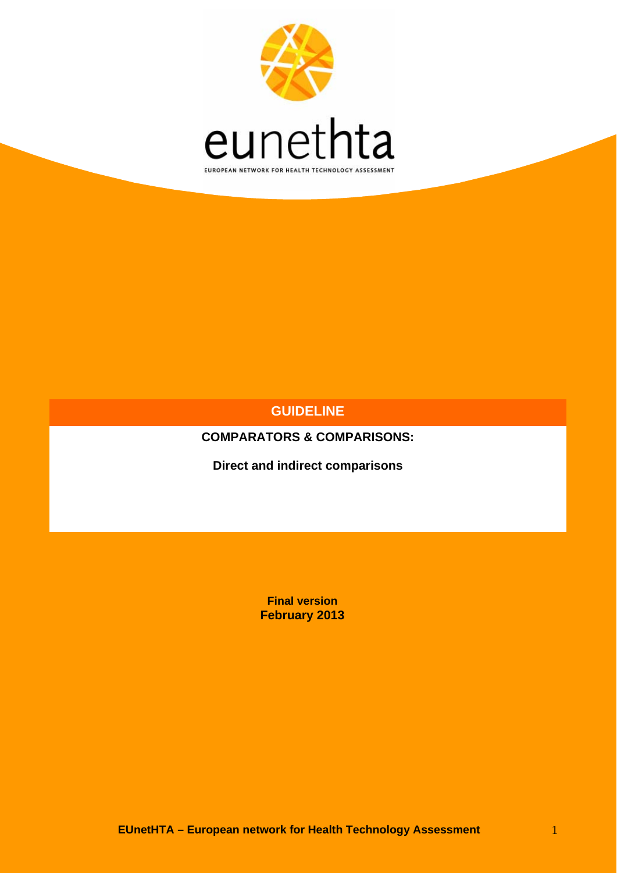

## **GUIDELINE**

**COMPARATORS & COMPARISONS:** 

**Direct and indirect comparisons** 

**Final version February 2013**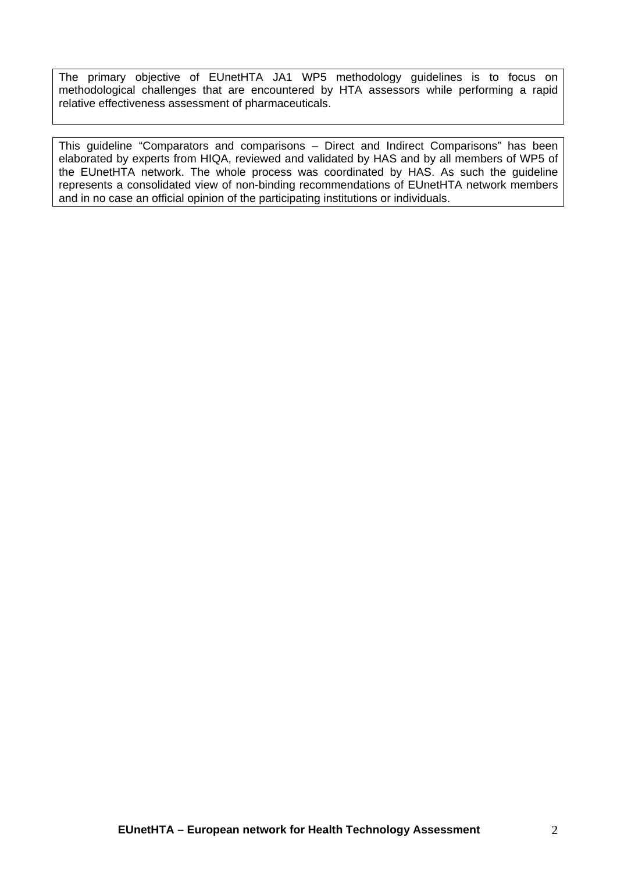The primary objective of EUnetHTA JA1 WP5 methodology guidelines is to focus on methodological challenges that are encountered by HTA assessors while performing a rapid relative effectiveness assessment of pharmaceuticals.

This guideline "Comparators and comparisons – Direct and Indirect Comparisons" has been elaborated by experts from HIQA, reviewed and validated by HAS and by all members of WP5 of the EUnetHTA network. The whole process was coordinated by HAS. As such the guideline represents a consolidated view of non-binding recommendations of EUnetHTA network members and in no case an official opinion of the participating institutions or individuals.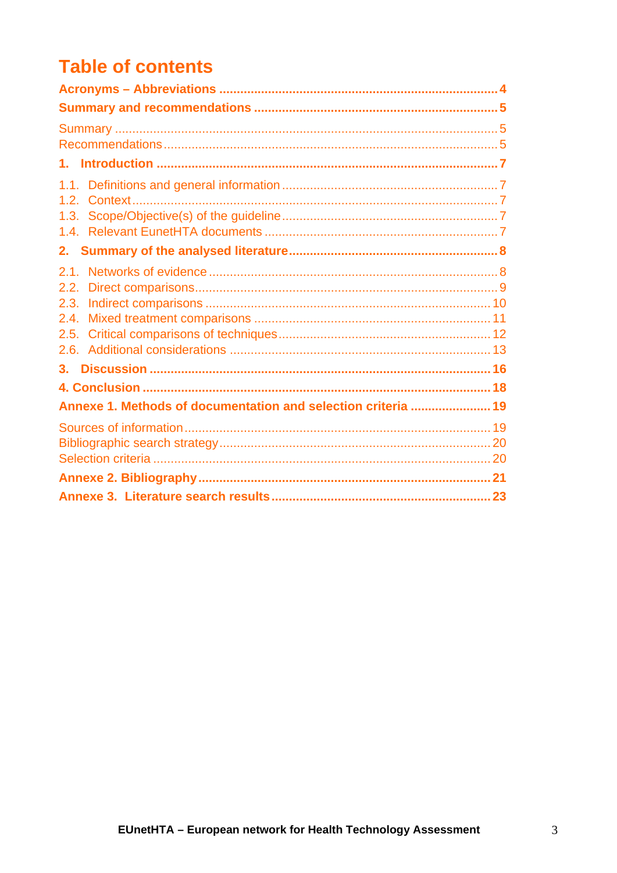# **Table of contents**

| 1.                                                            |  |
|---------------------------------------------------------------|--|
|                                                               |  |
|                                                               |  |
| 21<br>2.2.                                                    |  |
|                                                               |  |
|                                                               |  |
|                                                               |  |
| 3.                                                            |  |
|                                                               |  |
| Annexe 1. Methods of documentation and selection criteria  19 |  |
|                                                               |  |
|                                                               |  |
|                                                               |  |
|                                                               |  |
|                                                               |  |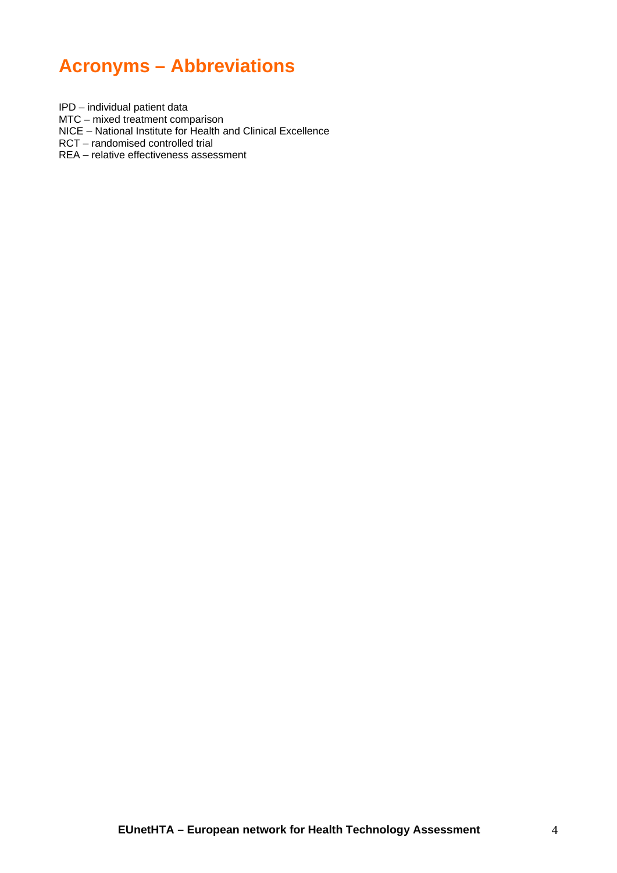# <span id="page-3-0"></span>**Acronyms – Abbreviations**

IPD – individual patient data

MTC – mixed treatment comparison

NICE – National Institute for Health and Clinical Excellence

RCT – randomised controlled trial

REA – relative effectiveness assessment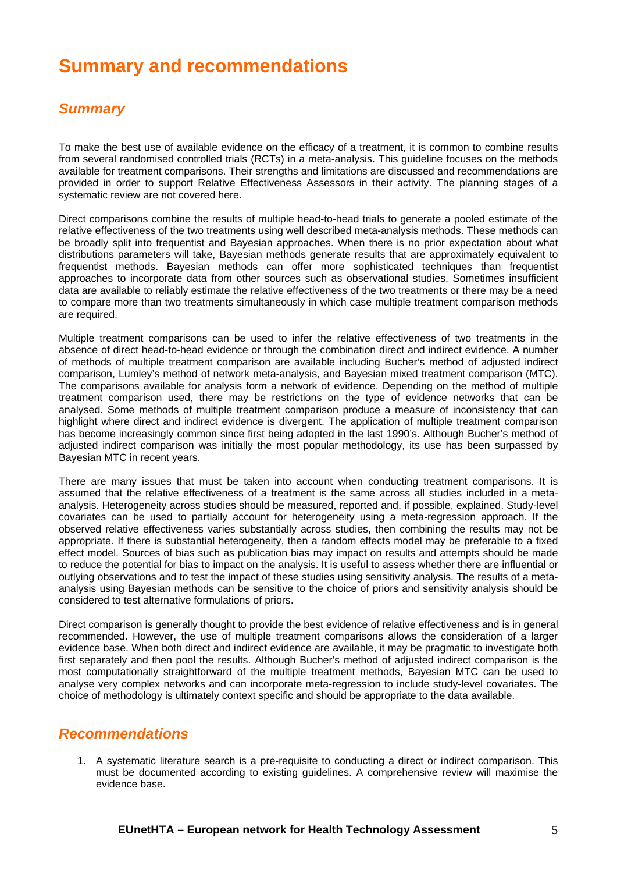# <span id="page-4-0"></span>**Summary and recommendations**

## *Summary*

<span id="page-4-1"></span>To make the best use of available evidence on the efficacy of a treatment, it is common to combine results from several randomised controlled trials (RCTs) in a meta-analysis. This guideline focuses on the methods available for treatment comparisons. Their strengths and limitations are discussed and recommendations are provided in order to support Relative Effectiveness Assessors in their activity. The planning stages of a systematic review are not covered here.

Direct comparisons combine the results of multiple head-to-head trials to generate a pooled estimate of the relative effectiveness of the two treatments using well described meta-analysis methods. These methods can be broadly split into frequentist and Bayesian approaches. When there is no prior expectation about what distributions parameters will take, Bayesian methods generate results that are approximately equivalent to frequentist methods. Bayesian methods can offer more sophisticated techniques than frequentist approaches to incorporate data from other sources such as observational studies. Sometimes insufficient data are available to reliably estimate the relative effectiveness of the two treatments or there may be a need to compare more than two treatments simultaneously in which case multiple treatment comparison methods are required.

Multiple treatment comparisons can be used to infer the relative effectiveness of two treatments in the absence of direct head-to-head evidence or through the combination direct and indirect evidence. A number of methods of multiple treatment comparison are available including Bucher's method of adjusted indirect comparison, Lumley's method of network meta-analysis, and Bayesian mixed treatment comparison (MTC). The comparisons available for analysis form a network of evidence. Depending on the method of multiple treatment comparison used, there may be restrictions on the type of evidence networks that can be analysed. Some methods of multiple treatment comparison produce a measure of inconsistency that can highlight where direct and indirect evidence is divergent. The application of multiple treatment comparison has become increasingly common since first being adopted in the last 1990's. Although Bucher's method of adjusted indirect comparison was initially the most popular methodology, its use has been surpassed by Bayesian MTC in recent years.

There are many issues that must be taken into account when conducting treatment comparisons. It is assumed that the relative effectiveness of a treatment is the same across all studies included in a metaanalysis. Heterogeneity across studies should be measured, reported and, if possible, explained. Study-level covariates can be used to partially account for heterogeneity using a meta-regression approach. If the observed relative effectiveness varies substantially across studies, then combining the results may not be appropriate. If there is substantial heterogeneity, then a random effects model may be preferable to a fixed effect model. Sources of bias such as publication bias may impact on results and attempts should be made to reduce the potential for bias to impact on the analysis. It is useful to assess whether there are influential or outlying observations and to test the impact of these studies using sensitivity analysis. The results of a metaanalysis using Bayesian methods can be sensitive to the choice of priors and sensitivity analysis should be considered to test alternative formulations of priors.

Direct comparison is generally thought to provide the best evidence of relative effectiveness and is in general recommended. However, the use of multiple treatment comparisons allows the consideration of a larger evidence base. When both direct and indirect evidence are available, it may be pragmatic to investigate both first separately and then pool the results. Although Bucher's method of adjusted indirect comparison is the most computationally straightforward of the multiple treatment methods, Bayesian MTC can be used to analyse very complex networks and can incorporate meta-regression to include study-level covariates. The choice of methodology is ultimately context specific and should be appropriate to the data available.

### <span id="page-4-2"></span>*Recommendations*

1. A systematic literature search is a pre-requisite to conducting a direct or indirect comparison. This must be documented according to existing guidelines. A comprehensive review will maximise the evidence base.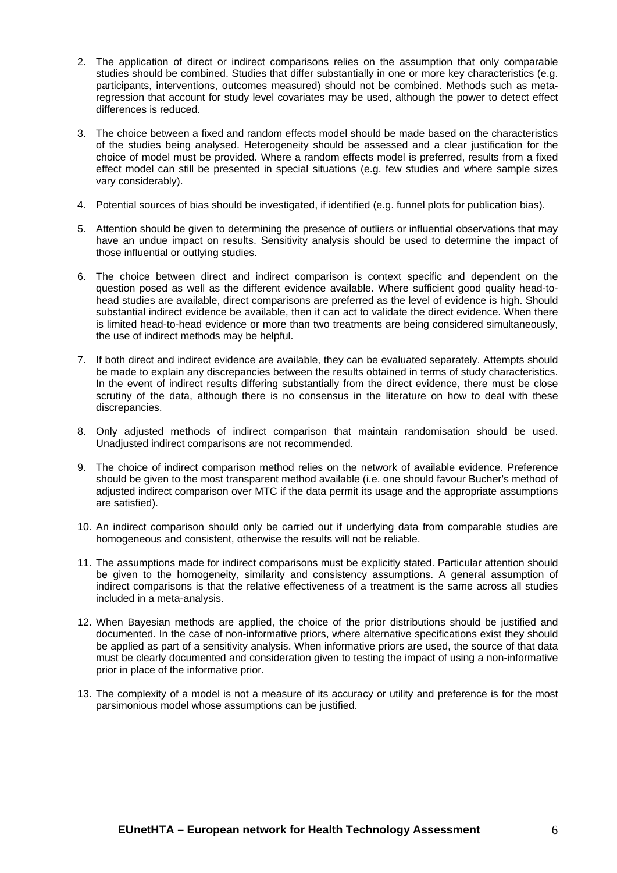- 2. The application of direct or indirect comparisons relies on the assumption that only comparable studies should be combined. Studies that differ substantially in one or more key characteristics (e.g. participants, interventions, outcomes measured) should not be combined. Methods such as metaregression that account for study level covariates may be used, although the power to detect effect differences is reduced.
- 3. The choice between a fixed and random effects model should be made based on the characteristics of the studies being analysed. Heterogeneity should be assessed and a clear justification for the choice of model must be provided. Where a random effects model is preferred, results from a fixed effect model can still be presented in special situations (e.g. few studies and where sample sizes vary considerably).
- 4. Potential sources of bias should be investigated, if identified (e.g. funnel plots for publication bias).
- 5. Attention should be given to determining the presence of outliers or influential observations that may have an undue impact on results. Sensitivity analysis should be used to determine the impact of those influential or outlying studies.
- 6. The choice between direct and indirect comparison is context specific and dependent on the question posed as well as the different evidence available. Where sufficient good quality head-tohead studies are available, direct comparisons are preferred as the level of evidence is high. Should substantial indirect evidence be available, then it can act to validate the direct evidence. When there is limited head-to-head evidence or more than two treatments are being considered simultaneously, the use of indirect methods may be helpful.
- 7. If both direct and indirect evidence are available, they can be evaluated separately. Attempts should be made to explain any discrepancies between the results obtained in terms of study characteristics. In the event of indirect results differing substantially from the direct evidence, there must be close scrutiny of the data, although there is no consensus in the literature on how to deal with these discrepancies.
- 8. Only adjusted methods of indirect comparison that maintain randomisation should be used. Unadjusted indirect comparisons are not recommended.
- 9. The choice of indirect comparison method relies on the network of available evidence. Preference should be given to the most transparent method available (i.e. one should favour Bucher's method of adjusted indirect comparison over MTC if the data permit its usage and the appropriate assumptions are satisfied).
- 10. An indirect comparison should only be carried out if underlying data from comparable studies are homogeneous and consistent, otherwise the results will not be reliable.
- 11. The assumptions made for indirect comparisons must be explicitly stated. Particular attention should be given to the homogeneity, similarity and consistency assumptions. A general assumption of indirect comparisons is that the relative effectiveness of a treatment is the same across all studies included in a meta-analysis.
- 12. When Bayesian methods are applied, the choice of the prior distributions should be justified and documented. In the case of non-informative priors, where alternative specifications exist they should be applied as part of a sensitivity analysis. When informative priors are used, the source of that data must be clearly documented and consideration given to testing the impact of using a non-informative prior in place of the informative prior.
- 13. The complexity of a model is not a measure of its accuracy or utility and preference is for the most parsimonious model whose assumptions can be justified.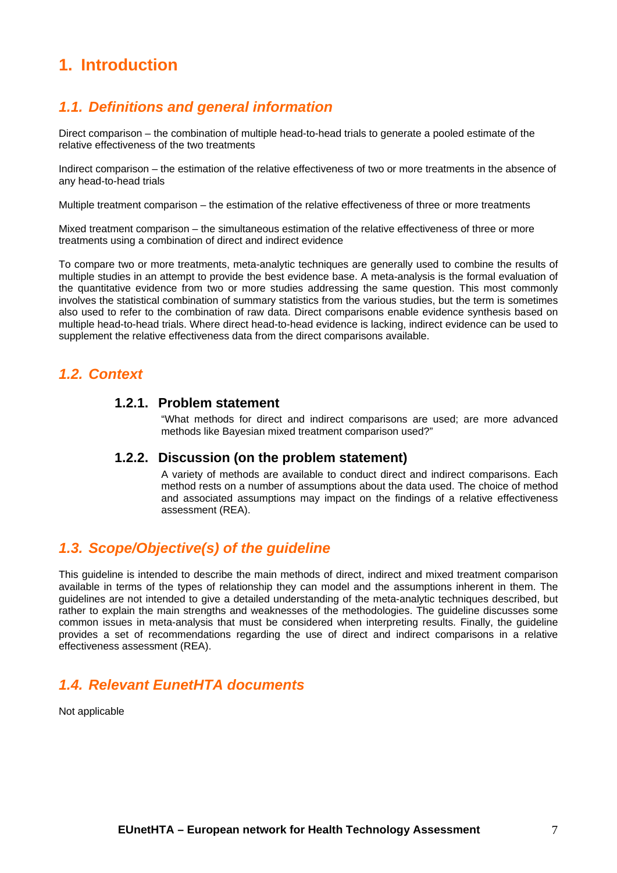## <span id="page-6-0"></span>**1. Introduction**

## <span id="page-6-1"></span>*1.1. Definitions and general information*

Direct comparison – the combination of multiple head-to-head trials to generate a pooled estimate of the relative effectiveness of the two treatments

Indirect comparison – the estimation of the relative effectiveness of two or more treatments in the absence of any head-to-head trials

Multiple treatment comparison – the estimation of the relative effectiveness of three or more treatments

Mixed treatment comparison – the simultaneous estimation of the relative effectiveness of three or more treatments using a combination of direct and indirect evidence

To compare two or more treatments, meta-analytic techniques are generally used to combine the results of multiple studies in an attempt to provide the best evidence base. A meta-analysis is the formal evaluation of the quantitative evidence from two or more studies addressing the same question. This most commonly involves the statistical combination of summary statistics from the various studies, but the term is sometimes also used to refer to the combination of raw data. Direct comparisons enable evidence synthesis based on multiple head-to-head trials. Where direct head-to-head evidence is lacking, indirect evidence can be used to supplement the relative effectiveness data from the direct comparisons available.

## <span id="page-6-2"></span>*1.2. Context*

### **1.2.1. Problem statement**

"What methods for direct and indirect comparisons are used; are more advanced methods like Bayesian mixed treatment comparison used?"

#### **1.2.2. Discussion (on the problem statement)**

A variety of methods are available to conduct direct and indirect comparisons. Each method rests on a number of assumptions about the data used. The choice of method and associated assumptions may impact on the findings of a relative effectiveness assessment (REA).

## <span id="page-6-3"></span>*1.3. Scope/Objective(s) of the guideline*

This guideline is intended to describe the main methods of direct, indirect and mixed treatment comparison available in terms of the types of relationship they can model and the assumptions inherent in them. The guidelines are not intended to give a detailed understanding of the meta-analytic techniques described, but rather to explain the main strengths and weaknesses of the methodologies. The guideline discusses some common issues in meta-analysis that must be considered when interpreting results. Finally, the guideline provides a set of recommendations regarding the use of direct and indirect comparisons in a relative effectiveness assessment (REA).

## <span id="page-6-4"></span>*1.4. Relevant EunetHTA documents*

Not applicable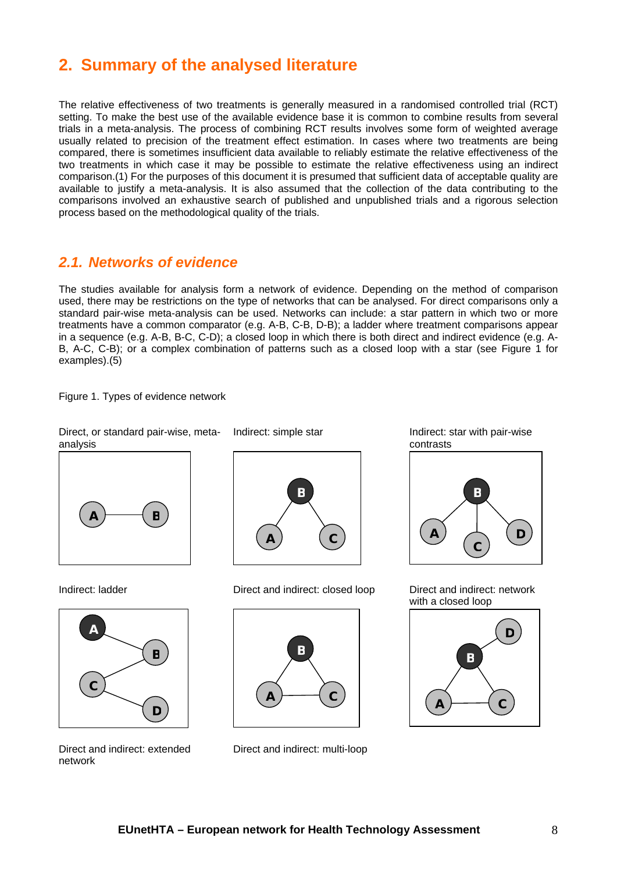## <span id="page-7-0"></span>**2. Summary of the analysed literature**

The relative effectiveness of two treatments is generally measured in a randomised controlled trial (RCT) setting. To make the best use of the available evidence base it is common to combine results from several trials in a meta-analysis. The process of combining RCT results involves some form of weighted average usually related to precision of the treatment effect estimation. In cases where two treatments are being compared, there is sometimes insufficient data available to reliably estimate the relative effectiveness of the two treatments in which case it may be possible to estimate the relative effectiveness using an indirect comparison.(1) For the purposes of this document it is presumed that sufficient data of acceptable quality are available to justify a meta-analysis. It is also assumed that the collection of the data contributing to the comparisons involved an exhaustive search of published and unpublished trials and a rigorous selection process based on the methodological quality of the trials.

## <span id="page-7-1"></span>*2.1. Networks of evidence*

The studies available for analysis form a network of evidence. Depending on the method of comparison used, there may be restrictions on the type of networks that can be analysed. For direct comparisons only a standard pair-wise meta-analysis can be used. Networks can include: a star pattern in which two or more treatments have a common comparator (e.g. A-B, C-B, D-B); a ladder where treatment comparisons appear in a sequence (e.g. A-B, B-C, C-D); a closed loop in which there is both direct and indirect evidence (e.g. A-B, A-C, C-B); or a complex combination of patterns such as a closed loop with a star (see Figure 1 for examples).(5)

Figure 1. Types of evidence network

Direct, or standard pair-wise, meta-

analysis  $A \rightarrow$  **B** 





Direct and indirect: extended network

Indirect: ladder Direct and indirect: closed loop Direct and indirect: network



Direct and indirect: multi-loop

Indirect: simple star Indirect: star with pair-wise contrasts



with a closed loop

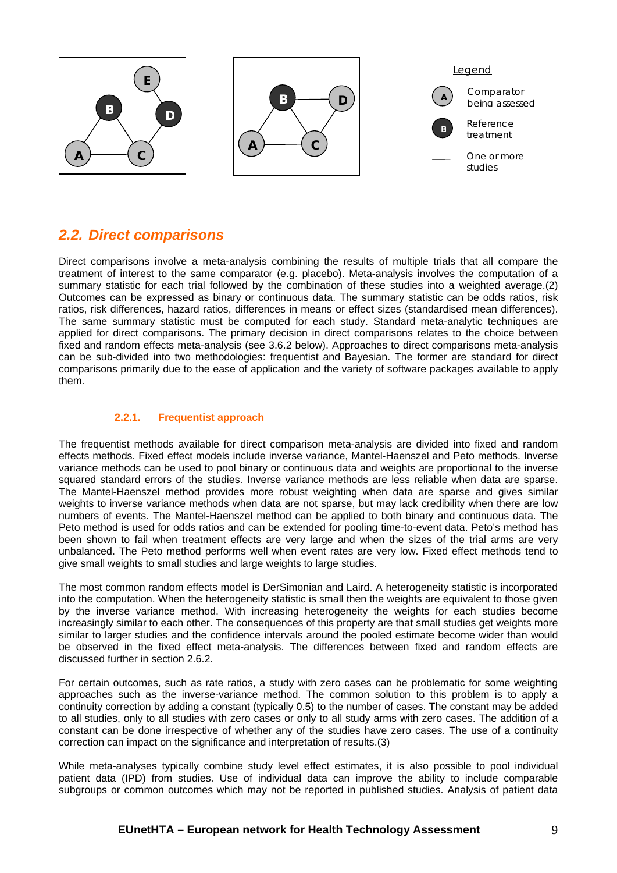

## <span id="page-8-0"></span>*2.2. Direct comparisons*

Direct comparisons involve a meta-analysis combining the results of multiple trials that all compare the treatment of interest to the same comparator (e.g. placebo). Meta-analysis involves the computation of a summary statistic for each trial followed by the combination of these studies into a weighted average.(2) Outcomes can be expressed as binary or continuous data. The summary statistic can be odds ratios, risk ratios, risk differences, hazard ratios, differences in means or effect sizes (standardised mean differences). The same summary statistic must be computed for each study. Standard meta-analytic techniques are applied for direct comparisons. The primary decision in direct comparisons relates to the choice between fixed and random effects meta-analysis (see 3.6.2 below). Approaches to direct comparisons meta-analysis can be sub-divided into two methodologies: frequentist and Bayesian. The former are standard for direct comparisons primarily due to the ease of application and the variety of software packages available to apply them.

#### **2.2.1. Frequentist approach**

The frequentist methods available for direct comparison meta-analysis are divided into fixed and random effects methods. Fixed effect models include inverse variance, Mantel-Haenszel and Peto methods. Inverse variance methods can be used to pool binary or continuous data and weights are proportional to the inverse squared standard errors of the studies. Inverse variance methods are less reliable when data are sparse. The Mantel-Haenszel method provides more robust weighting when data are sparse and gives similar weights to inverse variance methods when data are not sparse, but may lack credibility when there are low numbers of events. The Mantel-Haenszel method can be applied to both binary and continuous data. The Peto method is used for odds ratios and can be extended for pooling time-to-event data. Peto's method has been shown to fail when treatment effects are very large and when the sizes of the trial arms are very unbalanced. The Peto method performs well when event rates are very low. Fixed effect methods tend to give small weights to small studies and large weights to large studies.

The most common random effects model is DerSimonian and Laird. A heterogeneity statistic is incorporated into the computation. When the heterogeneity statistic is small then the weights are equivalent to those given by the inverse variance method. With increasing heterogeneity the weights for each studies become increasingly similar to each other. The consequences of this property are that small studies get weights more similar to larger studies and the confidence intervals around the pooled estimate become wider than would be observed in the fixed effect meta-analysis. The differences between fixed and random effects are discussed further in section 2.6.2.

For certain outcomes, such as rate ratios, a study with zero cases can be problematic for some weighting approaches such as the inverse-variance method. The common solution to this problem is to apply a continuity correction by adding a constant (typically 0.5) to the number of cases. The constant may be added to all studies, only to all studies with zero cases or only to all study arms with zero cases. The addition of a constant can be done irrespective of whether any of the studies have zero cases. The use of a continuity correction can impact on the significance and interpretation of results.(3)

While meta-analyses typically combine study level effect estimates, it is also possible to pool individual patient data (IPD) from studies. Use of individual data can improve the ability to include comparable subgroups or common outcomes which may not be reported in published studies. Analysis of patient data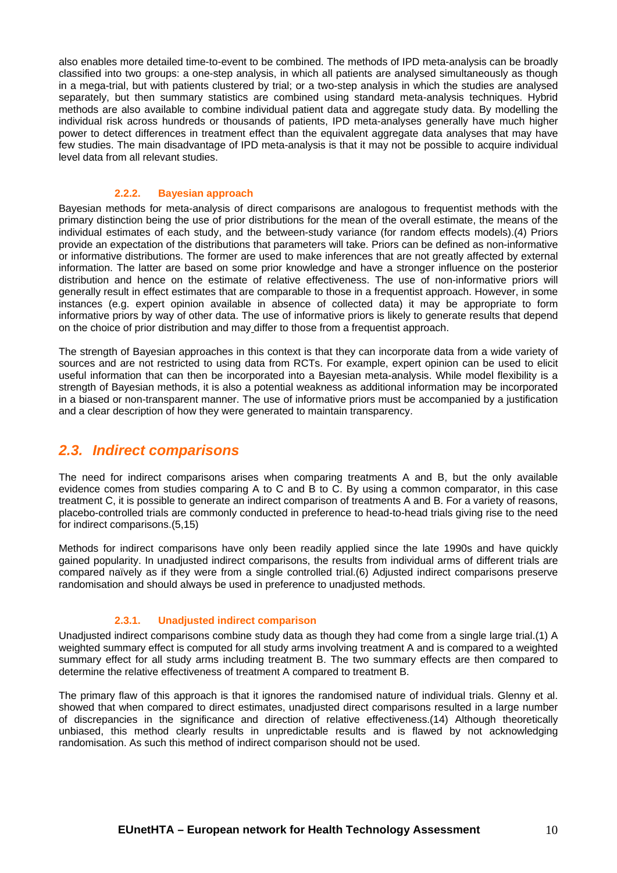also enables more detailed time-to-event to be combined. The methods of IPD meta-analysis can be broadly classified into two groups: a one-step analysis, in which all patients are analysed simultaneously as though in a mega-trial, but with patients clustered by trial; or a two-step analysis in which the studies are analysed separately, but then summary statistics are combined using standard meta-analysis techniques. Hybrid methods are also available to combine individual patient data and aggregate study data. By modelling the individual risk across hundreds or thousands of patients, IPD meta-analyses generally have much higher power to detect differences in treatment effect than the equivalent aggregate data analyses that may have few studies. The main disadvantage of IPD meta-analysis is that it may not be possible to acquire individual level data from all relevant studies.

#### **2.2.2. Bayesian approach**

Bayesian methods for meta-analysis of direct comparisons are analogous to frequentist methods with the primary distinction being the use of prior distributions for the mean of the overall estimate, the means of the individual estimates of each study, and the between-study variance (for random effects models).(4) Priors provide an expectation of the distributions that parameters will take. Priors can be defined as non-informative or informative distributions. The former are used to make inferences that are not greatly affected by external information. The latter are based on some prior knowledge and have a stronger influence on the posterior distribution and hence on the estimate of relative effectiveness. The use of non-informative priors will generally result in effect estimates that are comparable to those in a frequentist approach. However, in some instances (e.g. expert opinion available in absence of collected data) it may be appropriate to form informative priors by way of other data. The use of informative priors is likely to generate results that depend on the choice of prior distribution and may differ to those from a frequentist approach.

The strength of Bayesian approaches in this context is that they can incorporate data from a wide variety of sources and are not restricted to using data from RCTs. For example, expert opinion can be used to elicit useful information that can then be incorporated into a Bayesian meta-analysis. While model flexibility is a strength of Bayesian methods, it is also a potential weakness as additional information may be incorporated in a biased or non-transparent manner. The use of informative priors must be accompanied by a justification and a clear description of how they were generated to maintain transparency.

## <span id="page-9-0"></span>*2.3. Indirect comparisons*

The need for indirect comparisons arises when comparing treatments A and B, but the only available evidence comes from studies comparing A to C and B to C. By using a common comparator, in this case treatment C, it is possible to generate an indirect comparison of treatments A and B. For a variety of reasons, placebo-controlled trials are commonly conducted in preference to head-to-head trials giving rise to the need for indirect comparisons.(5,15)

Methods for indirect comparisons have only been readily applied since the late 1990s and have quickly gained popularity. In unadjusted indirect comparisons, the results from individual arms of different trials are compared naïvely as if they were from a single controlled trial.(6) Adjusted indirect comparisons preserve randomisation and should always be used in preference to unadjusted methods.

#### **2.3.1. Unadjusted indirect comparison**

Unadjusted indirect comparisons combine study data as though they had come from a single large trial.(1) A weighted summary effect is computed for all study arms involving treatment A and is compared to a weighted summary effect for all study arms including treatment B. The two summary effects are then compared to determine the relative effectiveness of treatment A compared to treatment B.

The primary flaw of this approach is that it ignores the randomised nature of individual trials. Glenny et al. showed that when compared to direct estimates, unadjusted direct comparisons resulted in a large number of discrepancies in the significance and direction of relative effectiveness.(14) Although theoretically unbiased, this method clearly results in unpredictable results and is flawed by not acknowledging randomisation. As such this method of indirect comparison should not be used.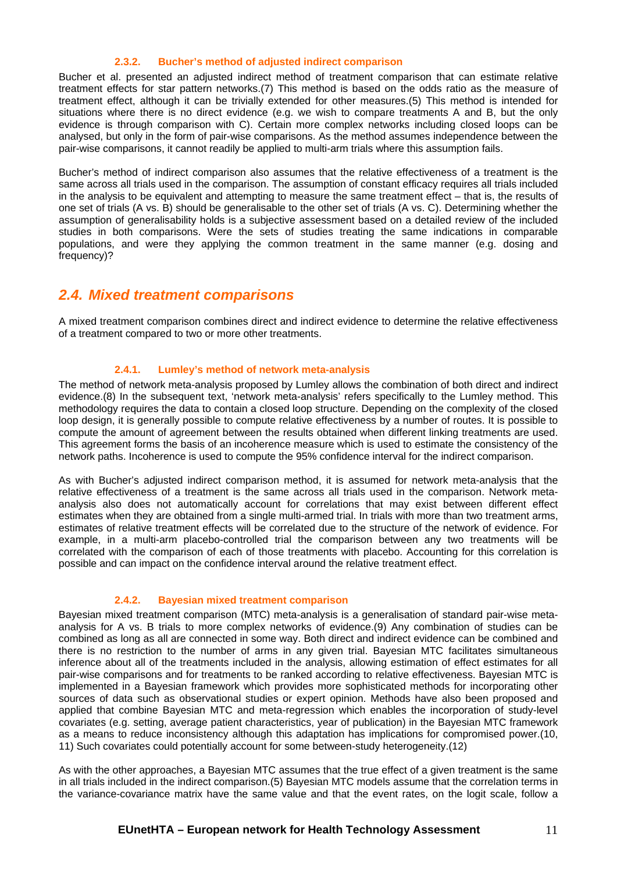#### **2.3.2. Bucher's method of adjusted indirect comparison**

Bucher et al. presented an adjusted indirect method of treatment comparison that can estimate relative treatment effects for star pattern networks.(7) This method is based on the odds ratio as the measure of treatment effect, although it can be trivially extended for other measures.(5) This method is intended for situations where there is no direct evidence (e.g. we wish to compare treatments A and B, but the only evidence is through comparison with C). Certain more complex networks including closed loops can be analysed, but only in the form of pair-wise comparisons. As the method assumes independence between the pair-wise comparisons, it cannot readily be applied to multi-arm trials where this assumption fails.

Bucher's method of indirect comparison also assumes that the relative effectiveness of a treatment is the same across all trials used in the comparison. The assumption of constant efficacy requires all trials included in the analysis to be equivalent and attempting to measure the same treatment effect – that is, the results of one set of trials (A vs. B) should be generalisable to the other set of trials (A vs. C). Determining whether the assumption of generalisability holds is a subjective assessment based on a detailed review of the included studies in both comparisons. Were the sets of studies treating the same indications in comparable populations, and were they applying the common treatment in the same manner (e.g. dosing and frequency)?

## <span id="page-10-0"></span>*2.4. Mixed treatment comparisons*

A mixed treatment comparison combines direct and indirect evidence to determine the relative effectiveness of a treatment compared to two or more other treatments.

#### **2.4.1. Lumley's method of network meta-analysis**

The method of network meta-analysis proposed by Lumley allows the combination of both direct and indirect evidence.(8) In the subsequent text, 'network meta-analysis' refers specifically to the Lumley method. This methodology requires the data to contain a closed loop structure. Depending on the complexity of the closed loop design, it is generally possible to compute relative effectiveness by a number of routes. It is possible to compute the amount of agreement between the results obtained when different linking treatments are used. This agreement forms the basis of an incoherence measure which is used to estimate the consistency of the network paths. Incoherence is used to compute the 95% confidence interval for the indirect comparison.

As with Bucher's adjusted indirect comparison method, it is assumed for network meta-analysis that the relative effectiveness of a treatment is the same across all trials used in the comparison. Network metaanalysis also does not automatically account for correlations that may exist between different effect estimates when they are obtained from a single multi-armed trial. In trials with more than two treatment arms, estimates of relative treatment effects will be correlated due to the structure of the network of evidence. For example, in a multi-arm placebo-controlled trial the comparison between any two treatments will be correlated with the comparison of each of those treatments with placebo. Accounting for this correlation is possible and can impact on the confidence interval around the relative treatment effect.

#### **2.4.2. Bayesian mixed treatment comparison**

Bayesian mixed treatment comparison (MTC) meta-analysis is a generalisation of standard pair-wise metaanalysis for A vs. B trials to more complex networks of evidence.(9) Any combination of studies can be combined as long as all are connected in some way. Both direct and indirect evidence can be combined and there is no restriction to the number of arms in any given trial. Bayesian MTC facilitates simultaneous inference about all of the treatments included in the analysis, allowing estimation of effect estimates for all pair-wise comparisons and for treatments to be ranked according to relative effectiveness. Bayesian MTC is implemented in a Bayesian framework which provides more sophisticated methods for incorporating other sources of data such as observational studies or expert opinion. Methods have also been proposed and applied that combine Bayesian MTC and meta-regression which enables the incorporation of study-level covariates (e.g. setting, average patient characteristics, year of publication) in the Bayesian MTC framework as a means to reduce inconsistency although this adaptation has implications for compromised power.(10, 11) Such covariates could potentially account for some between-study heterogeneity.(12)

As with the other approaches, a Bayesian MTC assumes that the true effect of a given treatment is the same in all trials included in the indirect comparison.(5) Bayesian MTC models assume that the correlation terms in the variance-covariance matrix have the same value and that the event rates, on the logit scale, follow a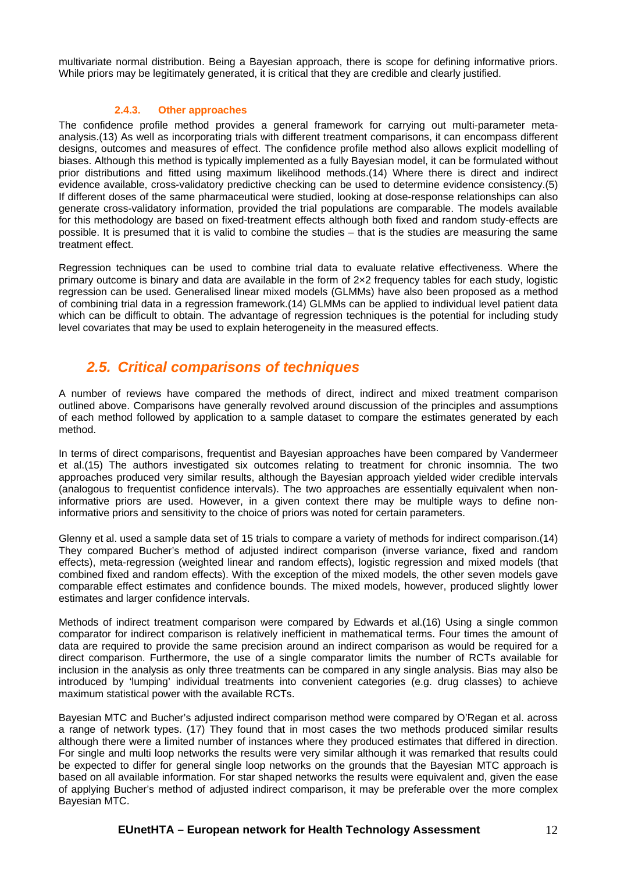multivariate normal distribution. Being a Bayesian approach, there is scope for defining informative priors. While priors may be legitimately generated, it is critical that they are credible and clearly justified.

#### **2.4.3. Other approaches**

The confidence profile method provides a general framework for carrying out multi-parameter metaanalysis.(13) As well as incorporating trials with different treatment comparisons, it can encompass different designs, outcomes and measures of effect. The confidence profile method also allows explicit modelling of biases. Although this method is typically implemented as a fully Bayesian model, it can be formulated without prior distributions and fitted using maximum likelihood methods.(14) Where there is direct and indirect evidence available, cross-validatory predictive checking can be used to determine evidence consistency.(5) If different doses of the same pharmaceutical were studied, looking at dose-response relationships can also generate cross-validatory information, provided the trial populations are comparable. The models available for this methodology are based on fixed-treatment effects although both fixed and random study-effects are possible. It is presumed that it is valid to combine the studies – that is the studies are measuring the same treatment effect.

Regression techniques can be used to combine trial data to evaluate relative effectiveness. Where the primary outcome is binary and data are available in the form of 2×2 frequency tables for each study, logistic regression can be used. Generalised linear mixed models (GLMMs) have also been proposed as a method of combining trial data in a regression framework.(14) GLMMs can be applied to individual level patient data which can be difficult to obtain. The advantage of regression techniques is the potential for including study level covariates that may be used to explain heterogeneity in the measured effects.

## *2.5. Critical comparisons of techniques*

<span id="page-11-0"></span>A number of reviews have compared the methods of direct, indirect and mixed treatment comparison outlined above. Comparisons have generally revolved around discussion of the principles and assumptions of each method followed by application to a sample dataset to compare the estimates generated by each method.

In terms of direct comparisons, frequentist and Bayesian approaches have been compared by Vandermeer et al.(15) The authors investigated six outcomes relating to treatment for chronic insomnia. The two approaches produced very similar results, although the Bayesian approach yielded wider credible intervals (analogous to frequentist confidence intervals). The two approaches are essentially equivalent when noninformative priors are used. However, in a given context there may be multiple ways to define noninformative priors and sensitivity to the choice of priors was noted for certain parameters.

Glenny et al. used a sample data set of 15 trials to compare a variety of methods for indirect comparison.(14) They compared Bucher's method of adjusted indirect comparison (inverse variance, fixed and random effects), meta-regression (weighted linear and random effects), logistic regression and mixed models (that combined fixed and random effects). With the exception of the mixed models, the other seven models gave comparable effect estimates and confidence bounds. The mixed models, however, produced slightly lower estimates and larger confidence intervals.

Methods of indirect treatment comparison were compared by Edwards et al.(16) Using a single common comparator for indirect comparison is relatively inefficient in mathematical terms. Four times the amount of data are required to provide the same precision around an indirect comparison as would be required for a direct comparison. Furthermore, the use of a single comparator limits the number of RCTs available for inclusion in the analysis as only three treatments can be compared in any single analysis. Bias may also be introduced by 'lumping' individual treatments into convenient categories (e.g. drug classes) to achieve maximum statistical power with the available RCTs.

Bayesian MTC and Bucher's adjusted indirect comparison method were compared by O'Regan et al. across a range of network types. (17) They found that in most cases the two methods produced similar results although there were a limited number of instances where they produced estimates that differed in direction. For single and multi loop networks the results were very similar although it was remarked that results could be expected to differ for general single loop networks on the grounds that the Bayesian MTC approach is based on all available information. For star shaped networks the results were equivalent and, given the ease of applying Bucher's method of adjusted indirect comparison, it may be preferable over the more complex Bayesian MTC.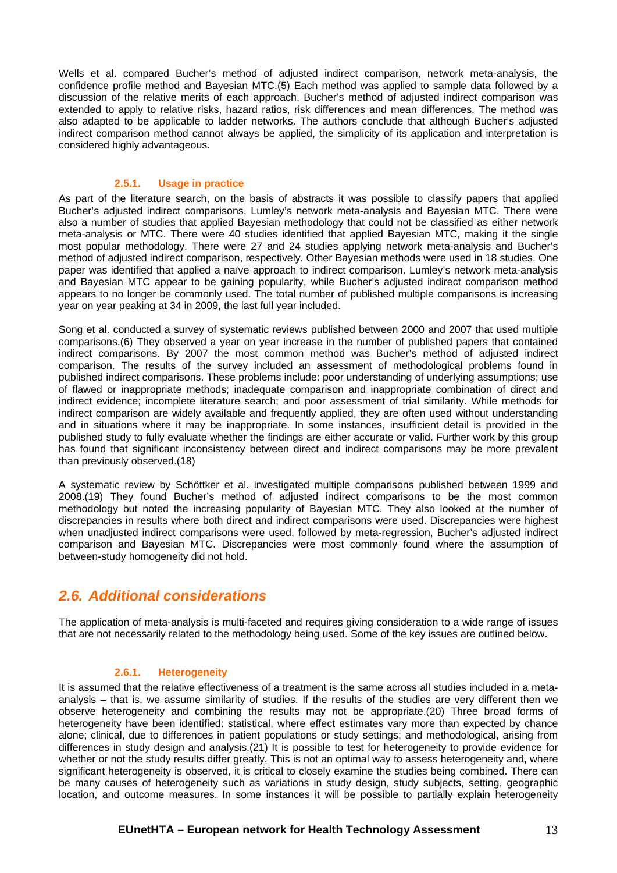Wells et al. compared Bucher's method of adjusted indirect comparison, network meta-analysis, the confidence profile method and Bayesian MTC.(5) Each method was applied to sample data followed by a discussion of the relative merits of each approach. Bucher's method of adjusted indirect comparison was extended to apply to relative risks, hazard ratios, risk differences and mean differences. The method was also adapted to be applicable to ladder networks. The authors conclude that although Bucher's adjusted indirect comparison method cannot always be applied, the simplicity of its application and interpretation is considered highly advantageous.

#### **2.5.1. Usage in practice**

As part of the literature search, on the basis of abstracts it was possible to classify papers that applied Bucher's adjusted indirect comparisons, Lumley's network meta-analysis and Bayesian MTC. There were also a number of studies that applied Bayesian methodology that could not be classified as either network meta-analysis or MTC. There were 40 studies identified that applied Bayesian MTC, making it the single most popular methodology. There were 27 and 24 studies applying network meta-analysis and Bucher's method of adjusted indirect comparison, respectively. Other Bayesian methods were used in 18 studies. One paper was identified that applied a naïve approach to indirect comparison. Lumley's network meta-analysis and Bayesian MTC appear to be gaining popularity, while Bucher's adjusted indirect comparison method appears to no longer be commonly used. The total number of published multiple comparisons is increasing year on year peaking at 34 in 2009, the last full year included.

Song et al. conducted a survey of systematic reviews published between 2000 and 2007 that used multiple comparisons.(6) They observed a year on year increase in the number of published papers that contained indirect comparisons. By 2007 the most common method was Bucher's method of adjusted indirect comparison. The results of the survey included an assessment of methodological problems found in published indirect comparisons. These problems include: poor understanding of underlying assumptions; use of flawed or inappropriate methods; inadequate comparison and inappropriate combination of direct and indirect evidence; incomplete literature search; and poor assessment of trial similarity. While methods for indirect comparison are widely available and frequently applied, they are often used without understanding and in situations where it may be inappropriate. In some instances, insufficient detail is provided in the published study to fully evaluate whether the findings are either accurate or valid. Further work by this group has found that significant inconsistency between direct and indirect comparisons may be more prevalent than previously observed.(18)

A systematic review by Schöttker et al. investigated multiple comparisons published between 1999 and 2008.(19) They found Bucher's method of adjusted indirect comparisons to be the most common methodology but noted the increasing popularity of Bayesian MTC. They also looked at the number of discrepancies in results where both direct and indirect comparisons were used. Discrepancies were highest when unadjusted indirect comparisons were used, followed by meta-regression, Bucher's adjusted indirect comparison and Bayesian MTC. Discrepancies were most commonly found where the assumption of between-study homogeneity did not hold.

## <span id="page-12-0"></span>*2.6. Additional considerations*

The application of meta-analysis is multi-faceted and requires giving consideration to a wide range of issues that are not necessarily related to the methodology being used. Some of the key issues are outlined below.

#### **2.6.1. Heterogeneity**

It is assumed that the relative effectiveness of a treatment is the same across all studies included in a metaanalysis – that is, we assume similarity of studies. If the results of the studies are very different then we observe heterogeneity and combining the results may not be appropriate.(20) Three broad forms of heterogeneity have been identified: statistical, where effect estimates vary more than expected by chance alone; clinical, due to differences in patient populations or study settings; and methodological, arising from differences in study design and analysis.(21) It is possible to test for heterogeneity to provide evidence for whether or not the study results differ greatly. This is not an optimal way to assess heterogeneity and, where significant heterogeneity is observed, it is critical to closely examine the studies being combined. There can be many causes of heterogeneity such as variations in study design, study subjects, setting, geographic location, and outcome measures. In some instances it will be possible to partially explain heterogeneity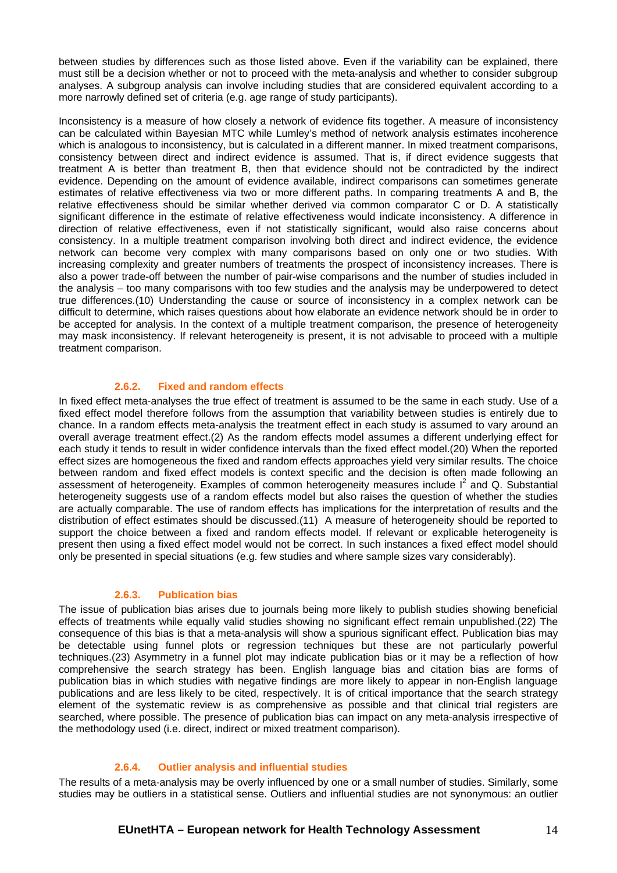between studies by differences such as those listed above. Even if the variability can be explained, there must still be a decision whether or not to proceed with the meta-analysis and whether to consider subgroup analyses. A subgroup analysis can involve including studies that are considered equivalent according to a more narrowly defined set of criteria (e.g. age range of study participants).

Inconsistency is a measure of how closely a network of evidence fits together. A measure of inconsistency can be calculated within Bayesian MTC while Lumley's method of network analysis estimates incoherence which is analogous to inconsistency, but is calculated in a different manner. In mixed treatment comparisons, consistency between direct and indirect evidence is assumed. That is, if direct evidence suggests that treatment A is better than treatment B, then that evidence should not be contradicted by the indirect evidence. Depending on the amount of evidence available, indirect comparisons can sometimes generate estimates of relative effectiveness via two or more different paths. In comparing treatments A and B, the relative effectiveness should be similar whether derived via common comparator C or D. A statistically significant difference in the estimate of relative effectiveness would indicate inconsistency. A difference in direction of relative effectiveness, even if not statistically significant, would also raise concerns about consistency. In a multiple treatment comparison involving both direct and indirect evidence, the evidence network can become very complex with many comparisons based on only one or two studies. With increasing complexity and greater numbers of treatments the prospect of inconsistency increases. There is also a power trade-off between the number of pair-wise comparisons and the number of studies included in the analysis – too many comparisons with too few studies and the analysis may be underpowered to detect true differences.(10) Understanding the cause or source of inconsistency in a complex network can be difficult to determine, which raises questions about how elaborate an evidence network should be in order to be accepted for analysis. In the context of a multiple treatment comparison, the presence of heterogeneity may mask inconsistency. If relevant heterogeneity is present, it is not advisable to proceed with a multiple treatment comparison.

#### **2.6.2. Fixed and random effects**

In fixed effect meta-analyses the true effect of treatment is assumed to be the same in each study. Use of a fixed effect model therefore follows from the assumption that variability between studies is entirely due to chance. In a random effects meta-analysis the treatment effect in each study is assumed to vary around an overall average treatment effect.(2) As the random effects model assumes a different underlying effect for each study it tends to result in wider confidence intervals than the fixed effect model.(20) When the reported effect sizes are homogeneous the fixed and random effects approaches yield very similar results. The choice between random and fixed effect models is context specific and the decision is often made following an assessment of heterogeneity. Examples of common heterogeneity measures include  $I^2$  and Q. Substantial heterogeneity suggests use of a random effects model but also raises the question of whether the studies are actually comparable. The use of random effects has implications for the interpretation of results and the distribution of effect estimates should be discussed.(11) A measure of heterogeneity should be reported to support the choice between a fixed and random effects model. If relevant or explicable heterogeneity is present then using a fixed effect model would not be correct. In such instances a fixed effect model should only be presented in special situations (e.g. few studies and where sample sizes vary considerably).

#### **2.6.3. Publication bias**

The issue of publication bias arises due to journals being more likely to publish studies showing beneficial effects of treatments while equally valid studies showing no significant effect remain unpublished.(22) The consequence of this bias is that a meta-analysis will show a spurious significant effect. Publication bias may be detectable using funnel plots or regression techniques but these are not particularly powerful techniques.(23) Asymmetry in a funnel plot may indicate publication bias or it may be a reflection of how comprehensive the search strategy has been. English language bias and citation bias are forms of publication bias in which studies with negative findings are more likely to appear in non-English language publications and are less likely to be cited, respectively. It is of critical importance that the search strategy element of the systematic review is as comprehensive as possible and that clinical trial registers are searched, where possible. The presence of publication bias can impact on any meta-analysis irrespective of the methodology used (i.e. direct, indirect or mixed treatment comparison).

#### **2.6.4. Outlier analysis and influential studies**

The results of a meta-analysis may be overly influenced by one or a small number of studies. Similarly, some studies may be outliers in a statistical sense. Outliers and influential studies are not synonymous: an outlier

#### **EUnetHTA – European network for Health Technology Assessment** 14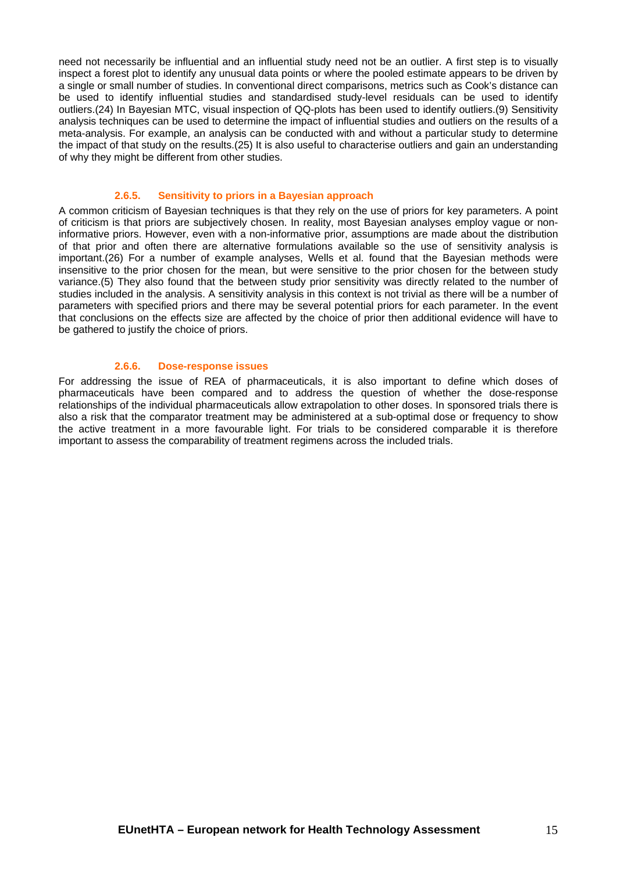need not necessarily be influential and an influential study need not be an outlier. A first step is to visually inspect a forest plot to identify any unusual data points or where the pooled estimate appears to be driven by a single or small number of studies. In conventional direct comparisons, metrics such as Cook's distance can be used to identify influential studies and standardised study-level residuals can be used to identify outliers.(24) In Bayesian MTC, visual inspection of QQ-plots has been used to identify outliers.(9) Sensitivity analysis techniques can be used to determine the impact of influential studies and outliers on the results of a meta-analysis. For example, an analysis can be conducted with and without a particular study to determine the impact of that study on the results.(25) It is also useful to characterise outliers and gain an understanding of why they might be different from other studies.

#### **2.6.5. Sensitivity to priors in a Bayesian approach**

A common criticism of Bayesian techniques is that they rely on the use of priors for key parameters. A point of criticism is that priors are subjectively chosen. In reality, most Bayesian analyses employ vague or noninformative priors. However, even with a non-informative prior, assumptions are made about the distribution of that prior and often there are alternative formulations available so the use of sensitivity analysis is important.(26) For a number of example analyses, Wells et al. found that the Bayesian methods were insensitive to the prior chosen for the mean, but were sensitive to the prior chosen for the between study variance.(5) They also found that the between study prior sensitivity was directly related to the number of studies included in the analysis. A sensitivity analysis in this context is not trivial as there will be a number of parameters with specified priors and there may be several potential priors for each parameter. In the event that conclusions on the effects size are affected by the choice of prior then additional evidence will have to be gathered to justify the choice of priors.

#### **2.6.6. Dose-response issues**

For addressing the issue of REA of pharmaceuticals, it is also important to define which doses of pharmaceuticals have been compared and to address the question of whether the dose-response relationships of the individual pharmaceuticals allow extrapolation to other doses. In sponsored trials there is also a risk that the comparator treatment may be administered at a sub-optimal dose or frequency to show the active treatment in a more favourable light. For trials to be considered comparable it is therefore important to assess the comparability of treatment regimens across the included trials.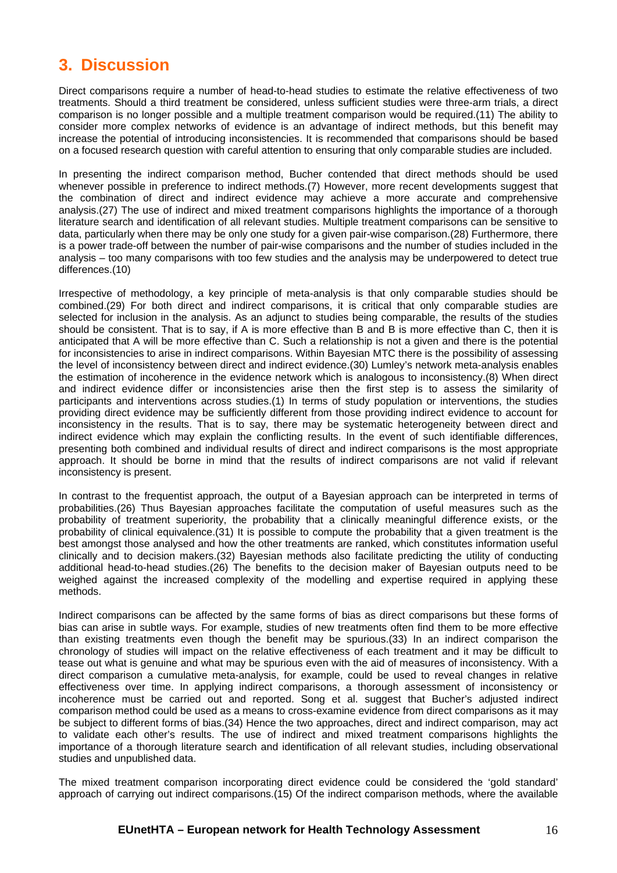## <span id="page-15-0"></span>**3. Discussion**

Direct comparisons require a number of head-to-head studies to estimate the relative effectiveness of two treatments. Should a third treatment be considered, unless sufficient studies were three-arm trials, a direct comparison is no longer possible and a multiple treatment comparison would be required.(11) The ability to consider more complex networks of evidence is an advantage of indirect methods, but this benefit may increase the potential of introducing inconsistencies. It is recommended that comparisons should be based on a focused research question with careful attention to ensuring that only comparable studies are included.

In presenting the indirect comparison method, Bucher contended that direct methods should be used whenever possible in preference to indirect methods.(7) However, more recent developments suggest that the combination of direct and indirect evidence may achieve a more accurate and comprehensive analysis.(27) The use of indirect and mixed treatment comparisons highlights the importance of a thorough literature search and identification of all relevant studies. Multiple treatment comparisons can be sensitive to data, particularly when there may be only one study for a given pair-wise comparison.(28) Furthermore, there is a power trade-off between the number of pair-wise comparisons and the number of studies included in the analysis – too many comparisons with too few studies and the analysis may be underpowered to detect true differences.(10)

Irrespective of methodology, a key principle of meta-analysis is that only comparable studies should be combined.(29) For both direct and indirect comparisons, it is critical that only comparable studies are selected for inclusion in the analysis. As an adjunct to studies being comparable, the results of the studies should be consistent. That is to say, if A is more effective than B and B is more effective than C, then it is anticipated that A will be more effective than C. Such a relationship is not a given and there is the potential for inconsistencies to arise in indirect comparisons. Within Bayesian MTC there is the possibility of assessing the level of inconsistency between direct and indirect evidence.(30) Lumley's network meta-analysis enables the estimation of incoherence in the evidence network which is analogous to inconsistency.(8) When direct and indirect evidence differ or inconsistencies arise then the first step is to assess the similarity of participants and interventions across studies.(1) In terms of study population or interventions, the studies providing direct evidence may be sufficiently different from those providing indirect evidence to account for inconsistency in the results. That is to say, there may be systematic heterogeneity between direct and indirect evidence which may explain the conflicting results. In the event of such identifiable differences, presenting both combined and individual results of direct and indirect comparisons is the most appropriate approach. It should be borne in mind that the results of indirect comparisons are not valid if relevant inconsistency is present.

In contrast to the frequentist approach, the output of a Bayesian approach can be interpreted in terms of probabilities.(26) Thus Bayesian approaches facilitate the computation of useful measures such as the probability of treatment superiority, the probability that a clinically meaningful difference exists, or the probability of clinical equivalence.(31) It is possible to compute the probability that a given treatment is the best amongst those analysed and how the other treatments are ranked, which constitutes information useful clinically and to decision makers.(32) Bayesian methods also facilitate predicting the utility of conducting additional head-to-head studies.(26) The benefits to the decision maker of Bayesian outputs need to be weighed against the increased complexity of the modelling and expertise required in applying these methods.

Indirect comparisons can be affected by the same forms of bias as direct comparisons but these forms of bias can arise in subtle ways. For example, studies of new treatments often find them to be more effective than existing treatments even though the benefit may be spurious.(33) In an indirect comparison the chronology of studies will impact on the relative effectiveness of each treatment and it may be difficult to tease out what is genuine and what may be spurious even with the aid of measures of inconsistency. With a direct comparison a cumulative meta-analysis, for example, could be used to reveal changes in relative effectiveness over time. In applying indirect comparisons, a thorough assessment of inconsistency or incoherence must be carried out and reported. Song et al. suggest that Bucher's adjusted indirect comparison method could be used as a means to cross-examine evidence from direct comparisons as it may be subject to different forms of bias.(34) Hence the two approaches, direct and indirect comparison, may act to validate each other's results. The use of indirect and mixed treatment comparisons highlights the importance of a thorough literature search and identification of all relevant studies, including observational studies and unpublished data.

The mixed treatment comparison incorporating direct evidence could be considered the 'gold standard' approach of carrying out indirect comparisons.(15) Of the indirect comparison methods, where the available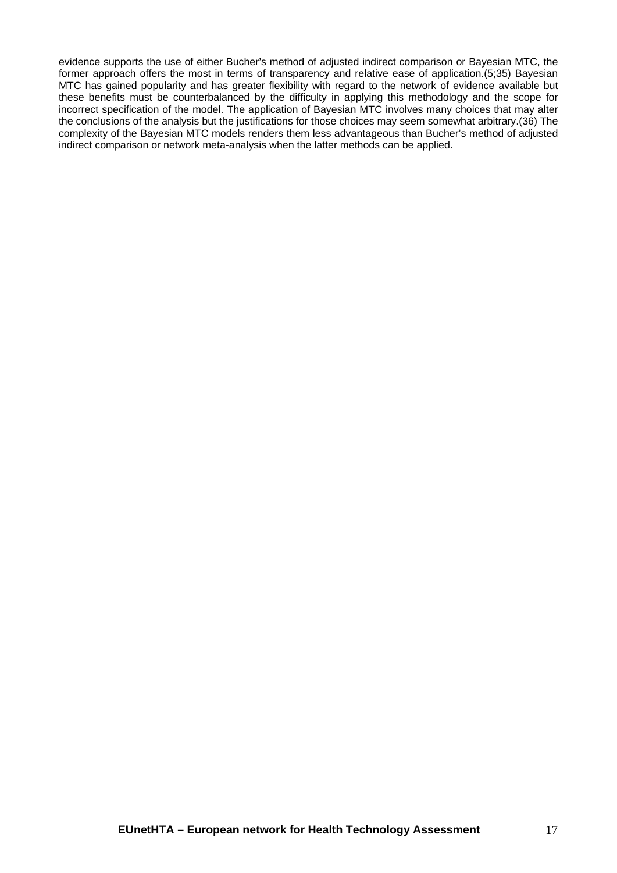evidence supports the use of either Bucher's method of adjusted indirect comparison or Bayesian MTC, the former approach offers the most in terms of transparency and relative ease of application.(5;35) Bayesian MTC has gained popularity and has greater flexibility with regard to the network of evidence available but these benefits must be counterbalanced by the difficulty in applying this methodology and the scope for incorrect specification of the model. The application of Bayesian MTC involves many choices that may alter the conclusions of the analysis but the justifications for those choices may seem somewhat arbitrary.(36) The complexity of the Bayesian MTC models renders them less advantageous than Bucher's method of adjusted indirect comparison or network meta-analysis when the latter methods can be applied.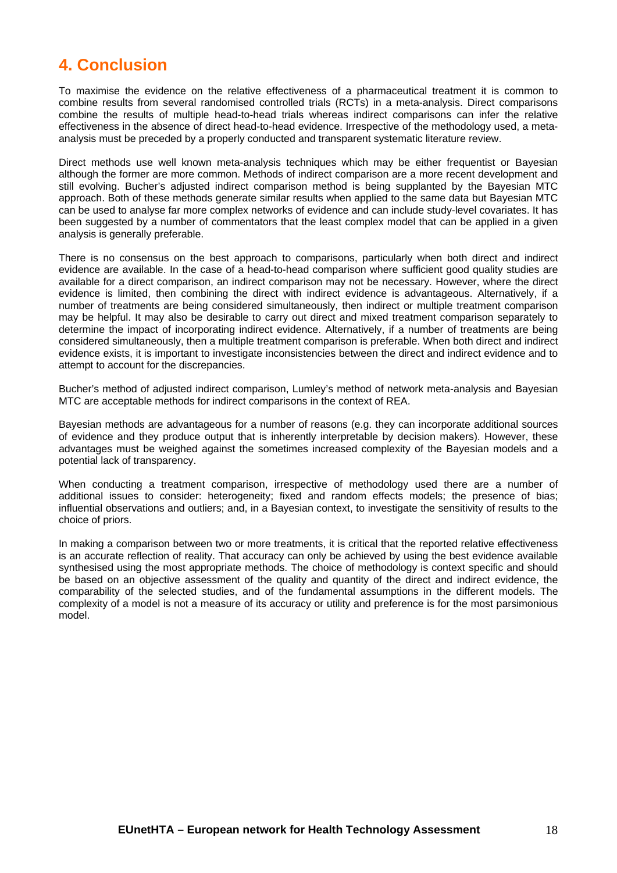## <span id="page-17-0"></span>**4. Conclusion**

To maximise the evidence on the relative effectiveness of a pharmaceutical treatment it is common to combine results from several randomised controlled trials (RCTs) in a meta-analysis. Direct comparisons combine the results of multiple head-to-head trials whereas indirect comparisons can infer the relative effectiveness in the absence of direct head-to-head evidence. Irrespective of the methodology used, a metaanalysis must be preceded by a properly conducted and transparent systematic literature review.

Direct methods use well known meta-analysis techniques which may be either frequentist or Bayesian although the former are more common. Methods of indirect comparison are a more recent development and still evolving. Bucher's adjusted indirect comparison method is being supplanted by the Bayesian MTC approach. Both of these methods generate similar results when applied to the same data but Bayesian MTC can be used to analyse far more complex networks of evidence and can include study-level covariates. It has been suggested by a number of commentators that the least complex model that can be applied in a given analysis is generally preferable.

There is no consensus on the best approach to comparisons, particularly when both direct and indirect evidence are available. In the case of a head-to-head comparison where sufficient good quality studies are available for a direct comparison, an indirect comparison may not be necessary. However, where the direct evidence is limited, then combining the direct with indirect evidence is advantageous. Alternatively, if a number of treatments are being considered simultaneously, then indirect or multiple treatment comparison may be helpful. It may also be desirable to carry out direct and mixed treatment comparison separately to determine the impact of incorporating indirect evidence. Alternatively, if a number of treatments are being considered simultaneously, then a multiple treatment comparison is preferable. When both direct and indirect evidence exists, it is important to investigate inconsistencies between the direct and indirect evidence and to attempt to account for the discrepancies.

Bucher's method of adjusted indirect comparison, Lumley's method of network meta-analysis and Bayesian MTC are acceptable methods for indirect comparisons in the context of REA.

Bayesian methods are advantageous for a number of reasons (e.g. they can incorporate additional sources of evidence and they produce output that is inherently interpretable by decision makers). However, these advantages must be weighed against the sometimes increased complexity of the Bayesian models and a potential lack of transparency.

When conducting a treatment comparison, irrespective of methodology used there are a number of additional issues to consider: heterogeneity; fixed and random effects models; the presence of bias; influential observations and outliers; and, in a Bayesian context, to investigate the sensitivity of results to the choice of priors.

In making a comparison between two or more treatments, it is critical that the reported relative effectiveness is an accurate reflection of reality. That accuracy can only be achieved by using the best evidence available synthesised using the most appropriate methods. The choice of methodology is context specific and should be based on an objective assessment of the quality and quantity of the direct and indirect evidence, the comparability of the selected studies, and of the fundamental assumptions in the different models. The complexity of a model is not a measure of its accuracy or utility and preference is for the most parsimonious model.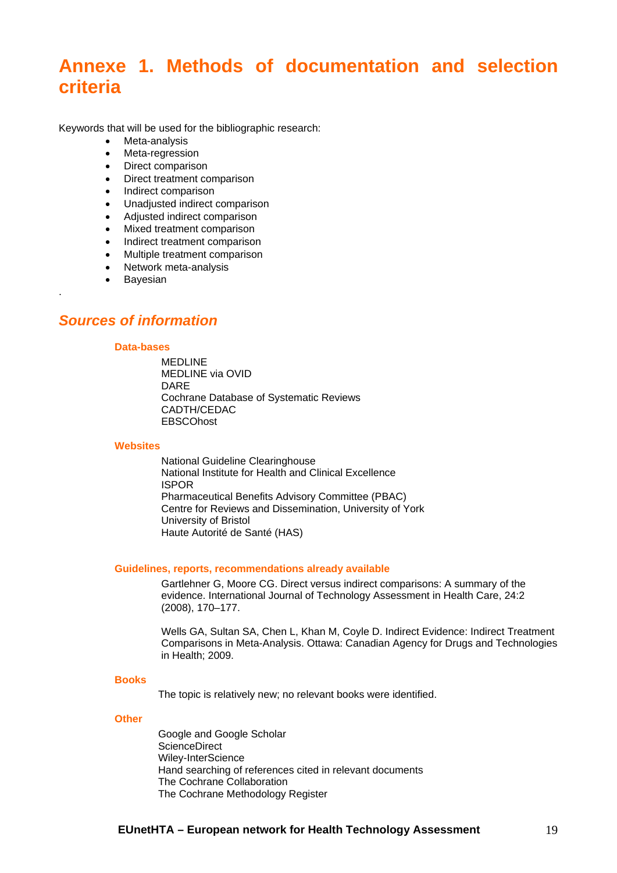# <span id="page-18-0"></span>**Annexe 1. Methods of documentation and selection criteria**

Keywords that will be used for the bibliographic research:

- Meta-analysis
- Meta-regression
- Direct comparison
- Direct treatment comparison
- Indirect comparison
- Unadjusted indirect comparison
- Adjusted indirect comparison
- Mixed treatment comparison
- Indirect treatment comparison
- Multiple treatment comparison
- Network meta-analysis
- **•** Bayesian

.

### <span id="page-18-1"></span>*Sources of information*

#### **Data-bases**

**MEDLINE** MEDLINE via OVID DARE Cochrane Database of Systematic Reviews CADTH/CEDAC **EBSCOhost** 

#### **Websites**

National Guideline Clearinghouse National Institute for Health and Clinical Excellence ISPOR Pharmaceutical Benefits Advisory Committee (PBAC) Centre for Reviews and Dissemination, University of York University of Bristol Haute Autorité de Santé (HAS)

#### **Guidelines, reports, recommendations already available**

Gartlehner G, Moore CG. Direct versus indirect comparisons: A summary of the evidence. International Journal of Technology Assessment in Health Care, 24:2 (2008), 170–177.

Wells GA, Sultan SA, Chen L, Khan M, Coyle D. Indirect Evidence: Indirect Treatment Comparisons in Meta-Analysis. Ottawa: Canadian Agency for Drugs and Technologies in Health; 2009.

#### **Books**

The topic is relatively new; no relevant books were identified.

#### **Other**

Google and Google Scholar ScienceDirect Wiley-InterScience Hand searching of references cited in relevant documents The Cochrane Collaboration The Cochrane Methodology Register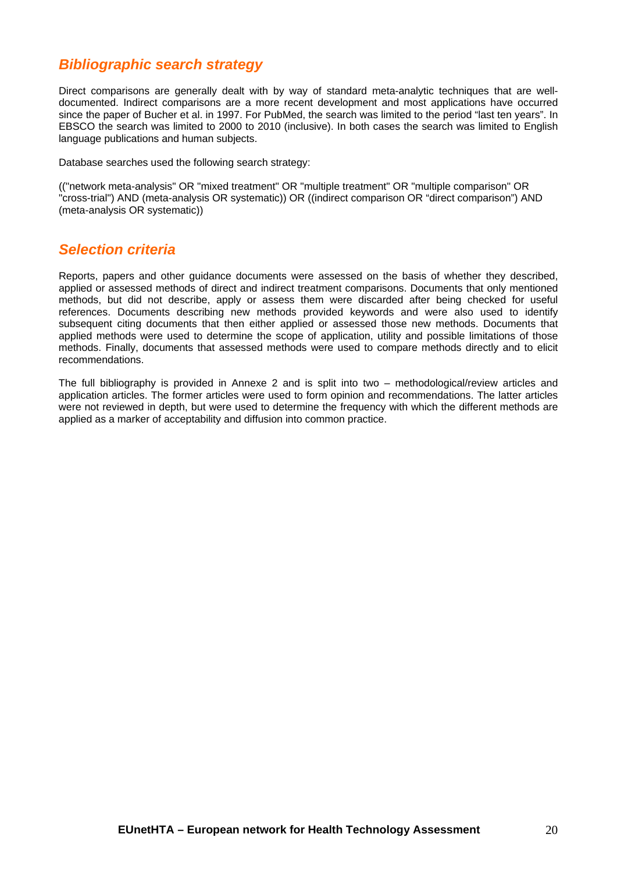## <span id="page-19-0"></span>*Bibliographic search strategy*

Direct comparisons are generally dealt with by way of standard meta-analytic techniques that are welldocumented. Indirect comparisons are a more recent development and most applications have occurred since the paper of Bucher et al. in 1997. For PubMed, the search was limited to the period "last ten years". In EBSCO the search was limited to 2000 to 2010 (inclusive). In both cases the search was limited to English language publications and human subjects.

Database searches used the following search strategy:

(("network meta-analysis" OR "mixed treatment" OR "multiple treatment" OR "multiple comparison" OR "cross-trial") AND (meta-analysis OR systematic)) OR ((indirect comparison OR "direct comparison") AND (meta-analysis OR systematic))

## <span id="page-19-1"></span>*Selection criteria*

Reports, papers and other guidance documents were assessed on the basis of whether they described, applied or assessed methods of direct and indirect treatment comparisons. Documents that only mentioned methods, but did not describe, apply or assess them were discarded after being checked for useful references. Documents describing new methods provided keywords and were also used to identify subsequent citing documents that then either applied or assessed those new methods. Documents that applied methods were used to determine the scope of application, utility and possible limitations of those methods. Finally, documents that assessed methods were used to compare methods directly and to elicit recommendations.

The full bibliography is provided in Annexe 2 and is split into two – methodological/review articles and application articles. The former articles were used to form opinion and recommendations. The latter articles were not reviewed in depth, but were used to determine the frequency with which the different methods are applied as a marker of acceptability and diffusion into common practice.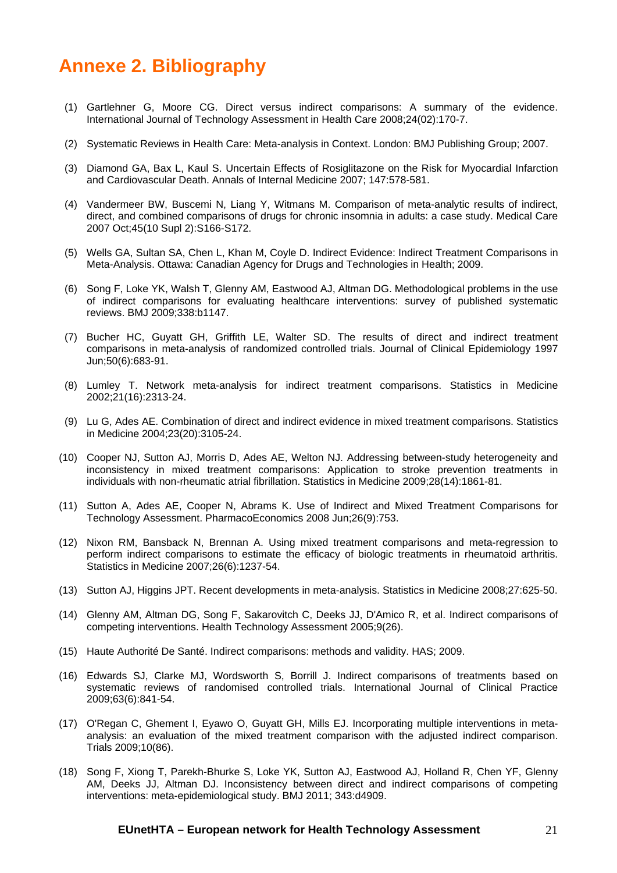# <span id="page-20-0"></span>**Annexe 2. Bibliography**

- (1) Gartlehner G, Moore CG. Direct versus indirect comparisons: A summary of the evidence. International Journal of Technology Assessment in Health Care 2008;24(02):170-7.
- (2) Systematic Reviews in Health Care: Meta-analysis in Context. London: BMJ Publishing Group; 2007.
- (3) Diamond GA, Bax L, Kaul S. Uncertain Effects of Rosiglitazone on the Risk for Myocardial Infarction and Cardiovascular Death. Annals of Internal Medicine 2007; 147:578-581.
- (4) Vandermeer BW, Buscemi N, Liang Y, Witmans M. Comparison of meta-analytic results of indirect, direct, and combined comparisons of drugs for chronic insomnia in adults: a case study. Medical Care 2007 Oct;45(10 Supl 2):S166-S172.
- (5) Wells GA, Sultan SA, Chen L, Khan M, Coyle D. Indirect Evidence: Indirect Treatment Comparisons in Meta-Analysis. Ottawa: Canadian Agency for Drugs and Technologies in Health; 2009.
- (6) Song F, Loke YK, Walsh T, Glenny AM, Eastwood AJ, Altman DG. Methodological problems in the use of indirect comparisons for evaluating healthcare interventions: survey of published systematic reviews. BMJ 2009;338:b1147.
- (7) Bucher HC, Guyatt GH, Griffith LE, Walter SD. The results of direct and indirect treatment comparisons in meta-analysis of randomized controlled trials. Journal of Clinical Epidemiology 1997 Jun;50(6):683-91.
- (8) Lumley T. Network meta-analysis for indirect treatment comparisons. Statistics in Medicine 2002;21(16):2313-24.
- (9) Lu G, Ades AE. Combination of direct and indirect evidence in mixed treatment comparisons. Statistics in Medicine 2004;23(20):3105-24.
- (10) Cooper NJ, Sutton AJ, Morris D, Ades AE, Welton NJ. Addressing between-study heterogeneity and inconsistency in mixed treatment comparisons: Application to stroke prevention treatments in individuals with non-rheumatic atrial fibrillation. Statistics in Medicine 2009;28(14):1861-81.
- (11) Sutton A, Ades AE, Cooper N, Abrams K. Use of Indirect and Mixed Treatment Comparisons for Technology Assessment. PharmacoEconomics 2008 Jun;26(9):753.
- (12) Nixon RM, Bansback N, Brennan A. Using mixed treatment comparisons and meta-regression to perform indirect comparisons to estimate the efficacy of biologic treatments in rheumatoid arthritis. Statistics in Medicine 2007;26(6):1237-54.
- (13) Sutton AJ, Higgins JPT. Recent developments in meta-analysis. Statistics in Medicine 2008;27:625-50.
- (14) Glenny AM, Altman DG, Song F, Sakarovitch C, Deeks JJ, D'Amico R, et al. Indirect comparisons of competing interventions. Health Technology Assessment 2005;9(26).
- (15) Haute Authorité De Santé. Indirect comparisons: methods and validity. HAS; 2009.
- (16) Edwards SJ, Clarke MJ, Wordsworth S, Borrill J. Indirect comparisons of treatments based on systematic reviews of randomised controlled trials. International Journal of Clinical Practice 2009;63(6):841-54.
- (17) O'Regan C, Ghement I, Eyawo O, Guyatt GH, Mills EJ. Incorporating multiple interventions in metaanalysis: an evaluation of the mixed treatment comparison with the adjusted indirect comparison. Trials 2009;10(86).
- (18) Song F, Xiong T, Parekh-Bhurke S, Loke YK, Sutton AJ, Eastwood AJ, Holland R, Chen YF, Glenny AM, Deeks JJ, Altman DJ. Inconsistency between direct and indirect comparisons of competing interventions: meta-epidemiological study. BMJ 2011; 343:d4909.

#### **EUnetHTA – European network for Health Technology Assessment** 21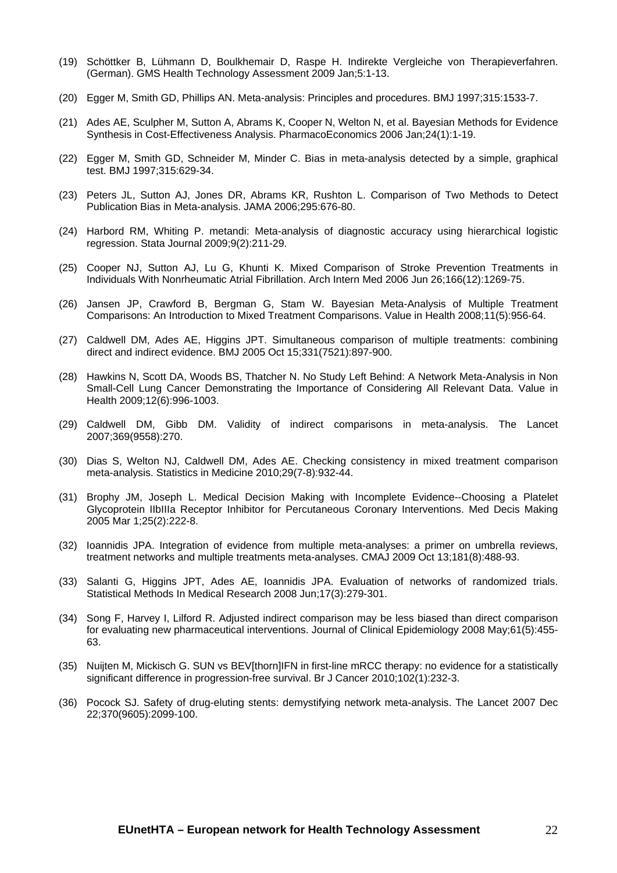- (19) Schöttker B, Lühmann D, Boulkhemair D, Raspe H. Indirekte Vergleiche von Therapieverfahren. (German). GMS Health Technology Assessment 2009 Jan;5:1-13.
- (20) Egger M, Smith GD, Phillips AN. Meta-analysis: Principles and procedures. BMJ 1997;315:1533-7.
- (21) Ades AE, Sculpher M, Sutton A, Abrams K, Cooper N, Welton N, et al. Bayesian Methods for Evidence Synthesis in Cost-Effectiveness Analysis. PharmacoEconomics 2006 Jan;24(1):1-19.
- (22) Egger M, Smith GD, Schneider M, Minder C. Bias in meta-analysis detected by a simple, graphical test. BMJ 1997;315:629-34.
- (23) Peters JL, Sutton AJ, Jones DR, Abrams KR, Rushton L. Comparison of Two Methods to Detect Publication Bias in Meta-analysis. JAMA 2006;295:676-80.
- (24) Harbord RM, Whiting P. metandi: Meta-analysis of diagnostic accuracy using hierarchical logistic regression. Stata Journal 2009;9(2):211-29.
- (25) Cooper NJ, Sutton AJ, Lu G, Khunti K. Mixed Comparison of Stroke Prevention Treatments in Individuals With Nonrheumatic Atrial Fibrillation. Arch Intern Med 2006 Jun 26;166(12):1269-75.
- (26) Jansen JP, Crawford B, Bergman G, Stam W. Bayesian Meta-Analysis of Multiple Treatment Comparisons: An Introduction to Mixed Treatment Comparisons. Value in Health 2008;11(5):956-64.
- (27) Caldwell DM, Ades AE, Higgins JPT. Simultaneous comparison of multiple treatments: combining direct and indirect evidence. BMJ 2005 Oct 15;331(7521):897-900.
- (28) Hawkins N, Scott DA, Woods BS, Thatcher N. No Study Left Behind: A Network Meta-Analysis in Non Small-Cell Lung Cancer Demonstrating the Importance of Considering All Relevant Data. Value in Health 2009;12(6):996-1003.
- (29) Caldwell DM, Gibb DM. Validity of indirect comparisons in meta-analysis. The Lancet 2007;369(9558):270.
- (30) Dias S, Welton NJ, Caldwell DM, Ades AE. Checking consistency in mixed treatment comparison meta-analysis. Statistics in Medicine 2010;29(7-8):932-44.
- (31) Brophy JM, Joseph L. Medical Decision Making with Incomplete Evidence--Choosing a Platelet Glycoprotein IIbIIIa Receptor Inhibitor for Percutaneous Coronary Interventions. Med Decis Making 2005 Mar 1;25(2):222-8.
- (32) Ioannidis JPA. Integration of evidence from multiple meta-analyses: a primer on umbrella reviews, treatment networks and multiple treatments meta-analyses. CMAJ 2009 Oct 13;181(8):488-93.
- (33) Salanti G, Higgins JPT, Ades AE, Ioannidis JPA. Evaluation of networks of randomized trials. Statistical Methods In Medical Research 2008 Jun;17(3):279-301.
- (34) Song F, Harvey I, Lilford R. Adjusted indirect comparison may be less biased than direct comparison for evaluating new pharmaceutical interventions. Journal of Clinical Epidemiology 2008 May;61(5):455- 63.
- (35) Nuijten M, Mickisch G. SUN vs BEV[thorn]IFN in first-line mRCC therapy: no evidence for a statistically significant difference in progression-free survival. Br J Cancer 2010;102(1):232-3.
- (36) Pocock SJ. Safety of drug-eluting stents: demystifying network meta-analysis. The Lancet 2007 Dec 22;370(9605):2099-100.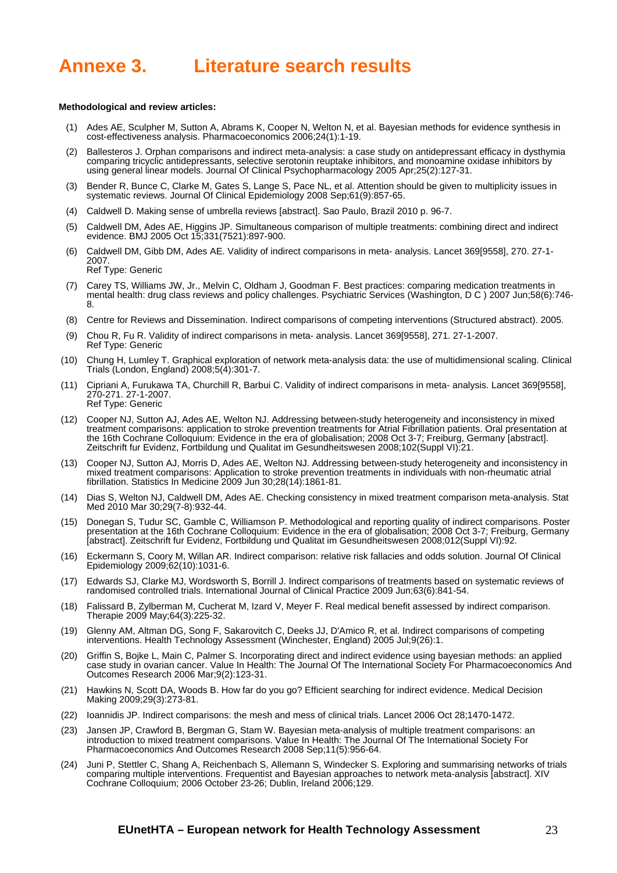# <span id="page-22-0"></span>**Annexe 3. Literature search results**

#### **Methodological and review articles:**

- (1) Ades AE, Sculpher M, Sutton A, Abrams K, Cooper N, Welton N, et al. Bayesian methods for evidence synthesis in cost-effectiveness analysis. Pharmacoeconomics 2006;24(1):1-19.
- (2) Ballesteros J. Orphan comparisons and indirect meta-analysis: a case study on antidepressant efficacy in dysthymia comparing tricyclic antidepressants, selective serotonin reuptake inhibitors, and monoamine oxidase inhibitors by using general linear models. Journal Of Clinical Psychopharmacology 2005 Apr;25(2):127-31.
- (3) Bender R, Bunce C, Clarke M, Gates S, Lange S, Pace NL, et al. Attention should be given to multiplicity issues in systematic reviews. Journal Of Clinical Epidemiology 2008 Sep;61(9):857-65.
	- (4) Caldwell D. Making sense of umbrella reviews [abstract]. Sao Paulo, Brazil 2010 p. 96-7.
- (5) Caldwell DM, Ades AE, Higgins JP. Simultaneous comparison of multiple treatments: combining direct and indirect evidence. BMJ 2005 Oct 15;331(7521):897-900.
- (6) Caldwell DM, Gibb DM, Ades AE. Validity of indirect comparisons in meta- analysis. Lancet 369[9558], 270. 27-1- 2007. Ref Type: Generic
- (7) Carey TS, Williams JW, Jr., Melvin C, Oldham J, Goodman F. Best practices: comparing medication treatments in mental health: drug class reviews and policy challenges. Psychiatric Services (Washington, D C ) 2007 Jun;58(6):746- 8.
- (8) Centre for Reviews and Dissemination. Indirect comparisons of competing interventions (Structured abstract). 2005.
- (9) Chou R, Fu R. Validity of indirect comparisons in meta- analysis. Lancet 369[9558], 271. 27-1-2007. Ref Type: Generic
- (10) Chung H, Lumley T. Graphical exploration of network meta-analysis data: the use of multidimensional scaling. Clinical Trials (London, England) 2008;5(4):301-7.
- (11) Cipriani A, Furukawa TA, Churchill R, Barbui C. Validity of indirect comparisons in meta- analysis. Lancet 369[9558], 270-271. 27-1-2007. Ref Type: Generic
- (12) Cooper NJ, Sutton AJ, Ades AE, Welton NJ. Addressing between-study heterogeneity and inconsistency in mixed treatment comparisons: application to stroke prevention treatments for Atrial Fibrillation patients. Oral presentation at the 16th Cochrane Colloquium: Evidence in the era of globalisation; 2008 Oct 3-7; Freiburg, Germany [abstract]. Zeitschrift fur Evidenz, Fortbildung und Qualitat im Gesundheitswesen 2008;102(Suppl VI):21.
- (13) Cooper NJ, Sutton AJ, Morris D, Ades AE, Welton NJ. Addressing between-study heterogeneity and inconsistency in mixed treatment comparisons: Application to stroke prevention treatments in individuals with non-rheumatic atrial fibrillation. Statistics In Medicine 2009 Jun 30;28(14):1861-81.
- (14) Dias S, Welton NJ, Caldwell DM, Ades AE. Checking consistency in mixed treatment comparison meta-analysis. Stat Med 2010 Mar 30;29(7-8):932-44.
- (15) Donegan S, Tudur SC, Gamble C, Williamson P. Methodological and reporting quality of indirect comparisons. Poster presentation at the 16th Cochrane Colloquium: Evidence in the era of globalisation; 2008 Oct 3-7; Freiburg, Germany [abstract]. Zeitschrift fur Evidenz, Fortbildung und Qualitat im Gesundheitswesen 2008;012(Suppl VI):92.
- (16) Eckermann S, Coory M, Willan AR. Indirect comparison: relative risk fallacies and odds solution. Journal Of Clinical Epidemiology 2009;62(10):1031-6.
- (17) Edwards SJ, Clarke MJ, Wordsworth S, Borrill J. Indirect comparisons of treatments based on systematic reviews of randomised controlled trials. International Journal of Clinical Practice 2009 Jun;63(6):841-54.
- (18) Falissard B, Zylberman M, Cucherat M, Izard V, Meyer F. Real medical benefit assessed by indirect comparison. Therapie 2009 May;64(3):225-32.
- (19) Glenny AM, Altman DG, Song F, Sakarovitch C, Deeks JJ, D'Amico R, et al. Indirect comparisons of competing interventions. Health Technology Assessment (Winchester, England) 2005 Jul;9(26):1.
- (20) Griffin S, Bojke L, Main C, Palmer S. Incorporating direct and indirect evidence using bayesian methods: an applied case study in ovarian cancer. Value In Health: The Journal Of The International Society For Pharmacoeconomics And Outcomes Research 2006 Mar;9(2):123-31.
- (21) Hawkins N, Scott DA, Woods B. How far do you go? Efficient searching for indirect evidence. Medical Decision Making 2009;29(3):273-81.
- (22) Ioannidis JP. Indirect comparisons: the mesh and mess of clinical trials. Lancet 2006 Oct 28;1470-1472.
- (23) Jansen JP, Crawford B, Bergman G, Stam W. Bayesian meta-analysis of multiple treatment comparisons: an introduction to mixed treatment comparisons. Value In Health: The Journal Of The International Society For Pharmacoeconomics And Outcomes Research 2008 Sep;11(5):956-64.
- (24) Juni P, Stettler C, Shang A, Reichenbach S, Allemann S, Windecker S. Exploring and summarising networks of trials comparing multiple interventions. Frequentist and Bayesian approaches to network meta-analysis [abstract]. XIV Cochrane Colloquium; 2006 October 23-26; Dublin, Ireland 2006;129.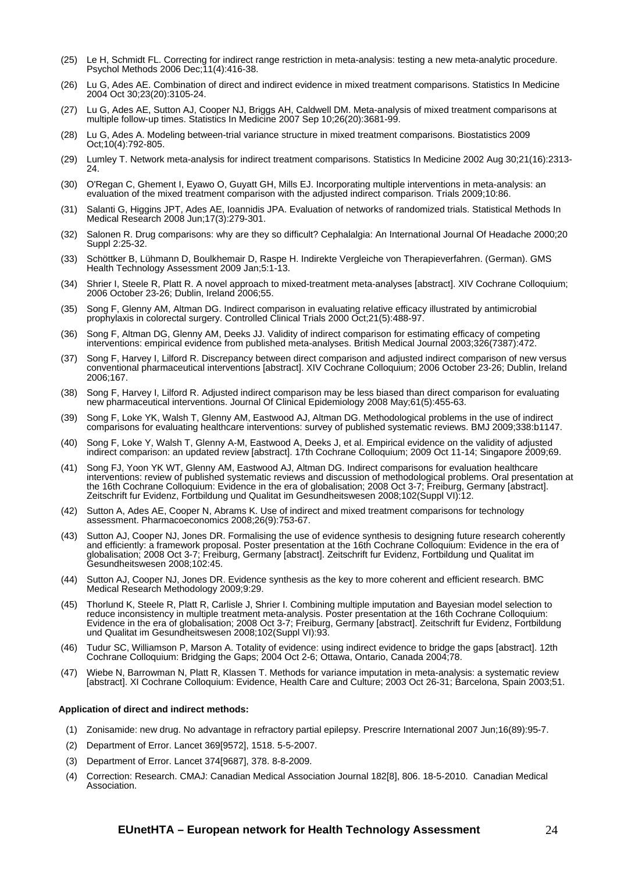- (25) Le H, Schmidt FL. Correcting for indirect range restriction in meta-analysis: testing a new meta-analytic procedure. Psychol Methods 2006 Dec;11(4):416-38.
- (26) Lu G, Ades AE. Combination of direct and indirect evidence in mixed treatment comparisons. Statistics In Medicine 2004 Oct 30;23(20):3105-24.
- (27) Lu G, Ades AE, Sutton AJ, Cooper NJ, Briggs AH, Caldwell DM. Meta-analysis of mixed treatment comparisons at multiple follow-up times. Statistics In Medicine 2007 Sep 10;26(20):3681-99.
- (28) Lu G, Ades A. Modeling between-trial variance structure in mixed treatment comparisons. Biostatistics 2009 Oct;10(4):792-805.
- (29) Lumley T. Network meta-analysis for indirect treatment comparisons. Statistics In Medicine 2002 Aug 30;21(16):2313- 24.
- (30) O'Regan C, Ghement I, Eyawo O, Guyatt GH, Mills EJ. Incorporating multiple interventions in meta-analysis: an evaluation of the mixed treatment comparison with the adjusted indirect comparison. Trials 2009;10:86.
- (31) Salanti G, Higgins JPT, Ades AE, Ioannidis JPA. Evaluation of networks of randomized trials. Statistical Methods In Medical Research 2008 Jun;17(3):279-301.
- (32) Salonen R. Drug comparisons: why are they so difficult? Cephalalgia: An International Journal Of Headache 2000;20 Suppl 2:25-32.
- (33) Schöttker B, Lühmann D, Boulkhemair D, Raspe H. Indirekte Vergleiche von Therapieverfahren. (German). GMS Health Technology Assessment 2009 Jan;5:1-13.
- (34) Shrier I, Steele R, Platt R. A novel approach to mixed-treatment meta-analyses [abstract]. XIV Cochrane Colloquium; 2006 October 23-26; Dublin, Ireland 2006;55.
- (35) Song F, Glenny AM, Altman DG. Indirect comparison in evaluating relative efficacy illustrated by antimicrobial prophylaxis in colorectal surgery. Controlled Clinical Trials 2000 Oct;21(5):488-97.
- (36) Song F, Altman DG, Glenny AM, Deeks JJ. Validity of indirect comparison for estimating efficacy of competing interventions: empirical evidence from published meta-analyses. British Medical Journal 2003;326(7387):472.
- (37) Song F, Harvey I, Lilford R. Discrepancy between direct comparison and adjusted indirect comparison of new versus conventional pharmaceutical interventions [abstract]. XIV Cochrane Colloquium; 2006 October 23-26; Dublin, Ireland 2006;167.
- (38) Song F, Harvey I, Lilford R. Adjusted indirect comparison may be less biased than direct comparison for evaluating new pharmaceutical interventions. Journal Of Clinical Epidemiology 2008 May;61(5):455-63.
- (39) Song F, Loke YK, Walsh T, Glenny AM, Eastwood AJ, Altman DG. Methodological problems in the use of indirect comparisons for evaluating healthcare interventions: survey of published systematic reviews. BMJ 2009;338:b1147.
- (40) Song F, Loke Y, Walsh T, Glenny A-M, Eastwood A, Deeks J, et al. Empirical evidence on the validity of adjusted indirect comparison: an updated review [abstract]. 17th Cochrane Colloquium; 2009 Oct 11-14; Singapore 2009;69.
- (41) Song FJ, Yoon YK WT, Glenny AM, Eastwood AJ, Altman DG. Indirect comparisons for evaluation healthcare interventions: review of published systematic reviews and discussion of methodological problems. Oral presentation at the 16th Cochrane Colloquium: Evidence in the era of globalisation; 2008 Oct 3-7; Freiburg, Germany [abstract]. Zeitschrift fur Evidenz, Fortbildung und Qualitat im Gesundheitswesen 2008;102(Suppl VI):12.
- (42) Sutton A, Ades AE, Cooper N, Abrams K. Use of indirect and mixed treatment comparisons for technology assessment. Pharmacoeconomics 2008;26(9):753-67.
- (43) Sutton AJ, Cooper NJ, Jones DR. Formalising the use of evidence synthesis to designing future research coherently and efficiently: a framework proposal. Poster presentation at the 16th Cochrane Colloquium: Evidence in the era of globalisation; 2008 Oct 3-7; Freiburg, Germany [abstract]. Zeitschrift fur Evidenz, Fortbildung und Qualitat im Gesundheitswesen 2008;102:45.
- (44) Sutton AJ, Cooper NJ, Jones DR. Evidence synthesis as the key to more coherent and efficient research. BMC Medical Research Methodology 2009;9:29.
- (45) Thorlund K, Steele R, Platt R, Carlisle J, Shrier I. Combining multiple imputation and Bayesian model selection to reduce inconsistency in multiple treatment meta-analysis. Poster presentation at the 16th Cochrane Colloquium: Evidence in the era of globalisation; 2008 Oct 3-7; Freiburg, Germany [abstract]. Zeitschrift fur Evidenz, Fortbildung und Qualitat im Gesundheitswesen 2008;102(Suppl VI):93.
- (46) Tudur SC, Williamson P, Marson A. Totality of evidence: using indirect evidence to bridge the gaps [abstract]. 12th Cochrane Colloquium: Bridging the Gaps; 2004 Oct 2-6; Ottawa, Ontario, Canada 2004;78.
- (47) Wiebe N, Barrowman N, Platt R, Klassen T. Methods for variance imputation in meta-analysis: a systematic review [abstract]. XI Cochrane Colloquium: Evidence, Health Care and Culture; 2003 Oct 26-31; Barcelona, Spain 2003;51.

#### **Application of direct and indirect methods:**

- (1) Zonisamide: new drug. No advantage in refractory partial epilepsy. Prescrire International 2007 Jun;16(89):95-7.
- (2) Department of Error. Lancet 369[9572], 1518. 5-5-2007.
- (3) Department of Error. Lancet 374[9687], 378. 8-8-2009.
- (4) Correction: Research. CMAJ: Canadian Medical Association Journal 182[8], 806. 18-5-2010. Canadian Medical Association.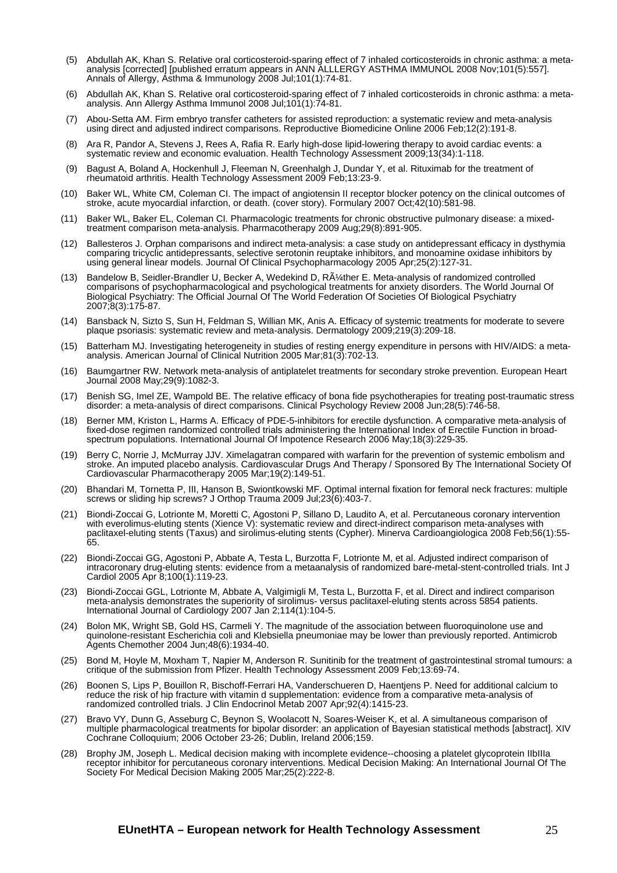- (5) Abdullah AK, Khan S. Relative oral corticosteroid-sparing effect of 7 inhaled corticosteroids in chronic asthma: a metaanalysis [corrected] [published erratum appears in ANN ALLLERGY ASTHMA IMMUNOL 2008 Nov;101(5):557]. Annals of Allergy, Asthma & Immunology 2008 Jul;101(1):74-81.
- (6) Abdullah AK, Khan S. Relative oral corticosteroid-sparing effect of 7 inhaled corticosteroids in chronic asthma: a metaanalysis. Ann Allergy Asthma Immunol 2008 Jul;101(1):74-81.
- (7) Abou-Setta AM. Firm embryo transfer catheters for assisted reproduction: a systematic review and meta-analysis using direct and adjusted indirect comparisons. Reproductive Biomedicine Online 2006 Feb;12(2):191-8.
- (8) Ara R, Pandor A, Stevens J, Rees A, Rafia R. Early high-dose lipid-lowering therapy to avoid cardiac events: a systematic review and economic evaluation. Health Technology Assessment 2009;13(34):1-118.
- (9) Bagust A, Boland A, Hockenhull J, Fleeman N, Greenhalgh J, Dundar Y, et al. Rituximab for the treatment of rheumatoid arthritis. Health Technology Assessment 2009 Feb;13:23-9.
- (10) Baker WL, White CM, Coleman CI. The impact of angiotensin II receptor blocker potency on the clinical outcomes of stroke, acute myocardial infarction, or death. (cover story). Formulary 2007 Oct;42(10):581-98.
- (11) Baker WL, Baker EL, Coleman CI. Pharmacologic treatments for chronic obstructive pulmonary disease: a mixedtreatment comparison meta-analysis. Pharmacotherapy 2009 Aug;29(8):891-905.
- (12) Ballesteros J. Orphan comparisons and indirect meta-analysis: a case study on antidepressant efficacy in dysthymia comparing tricyclic antidepressants, selective serotonin reuptake inhibitors, and monoamine oxidase inhibitors by using general linear models. Journal Of Clinical Psychopharmacology 2005 Apr;25(2):127-31.
- (13) Bandelow B, Seidler-Brandler U, Becker A, Wedekind D, RA<sup>1</sup>/<sub>4</sub>ther E. Meta-analysis of randomized controlled comparisons of psychopharmacological and psychological treatments for anxiety disorders. The World Journal Of Biological Psychiatry: The Official Journal Of The World Federation Of Societies Of Biological Psychiatry 2007;8(3):175-87.
- (14) Bansback N, Sizto S, Sun H, Feldman S, Willian MK, Anis A. Efficacy of systemic treatments for moderate to severe plaque psoriasis: systematic review and meta-analysis. Dermatology 2009;219(3):209-18.
- (15) Batterham MJ. Investigating heterogeneity in studies of resting energy expenditure in persons with HIV/AIDS: a metaanalysis. American Journal of Clinical Nutrition 2005 Mar;81(3):702-13.
- (16) Baumgartner RW. Network meta-analysis of antiplatelet treatments for secondary stroke prevention. European Heart Journal 2008 May;29(9):1082-3.
- (17) Benish SG, Imel ZE, Wampold BE. The relative efficacy of bona fide psychotherapies for treating post-traumatic stress disorder: a meta-analysis of direct comparisons. Clinical Psychology Review 2008 Jun;28(5):746-58.
- (18) Berner MM, Kriston L, Harms A. Efficacy of PDE-5-inhibitors for erectile dysfunction. A comparative meta-analysis of fixed-dose regimen randomized controlled trials administering the International Index of Erectile Function in broadspectrum populations. International Journal Of Impotence Research 2006 May;18(3):229-35.
- (19) Berry C, Norrie J, McMurray JJV. Ximelagatran compared with warfarin for the prevention of systemic embolism and stroke. An imputed placebo analysis. Cardiovascular Drugs And Therapy / Sponsored By The International Society Of Cardiovascular Pharmacotherapy 2005 Mar;19(2):149-51.
- (20) Bhandari M, Tornetta P, III, Hanson B, Swiontkowski MF. Optimal internal fixation for femoral neck fractures: multiple screws or sliding hip screws? J Orthop Trauma 2009 Jul;23(6):403-7.
- (21) Biondi-Zoccai G, Lotrionte M, Moretti C, Agostoni P, Sillano D, Laudito A, et al. Percutaneous coronary intervention with everolimus-eluting stents (Xience V): systematic review and direct-indirect comparison meta-analyses with paclitaxel-eluting stents (Taxus) and sirolimus-eluting stents (Cypher). Minerva Cardioangiologica 2008 Feb;56(1):55- 65.
- (22) Biondi-Zoccai GG, Agostoni P, Abbate A, Testa L, Burzotta F, Lotrionte M, et al. Adjusted indirect comparison of intracoronary drug-eluting stents: evidence from a metaanalysis of randomized bare-metal-stent-controlled trials. Int J Cardiol 2005 Apr 8;100(1):119-23.
- (23) Biondi-Zoccai GGL, Lotrionte M, Abbate A, Valgimigli M, Testa L, Burzotta F, et al. Direct and indirect comparison meta-analysis demonstrates the superiority of sirolimus- versus paclitaxel-eluting stents across 5854 patients. International Journal of Cardiology 2007 Jan 2;114(1):104-5.
- (24) Bolon MK, Wright SB, Gold HS, Carmeli Y. The magnitude of the association between fluoroquinolone use and quinolone-resistant Escherichia coli and Klebsiella pneumoniae may be lower than previously reported. Antimicrob Agents Chemother 2004 Jun;48(6):1934-40.
- (25) Bond M, Hoyle M, Moxham T, Napier M, Anderson R. Sunitinib for the treatment of gastrointestinal stromal tumours: a critique of the submission from Pfizer. Health Technology Assessment 2009 Feb;13:69-74.
- (26) Boonen S, Lips P, Bouillon R, Bischoff-Ferrari HA, Vanderschueren D, Haentjens P. Need for additional calcium to reduce the risk of hip fracture with vitamin d supplementation: evidence from a comparative meta-analysis of randomized controlled trials. J Clin Endocrinol Metab 2007 Apr;92(4):1415-23.
- (27) Bravo VY, Dunn G, Asseburg C, Beynon S, Woolacott N, Soares-Weiser K, et al. A simultaneous comparison of multiple pharmacological treatments for bipolar disorder: an application of Bayesian statistical methods [abstract]. XIV Cochrane Colloquium; 2006 October 23-26; Dublin, Ireland 2006;159.
- (28) Brophy JM, Joseph L. Medical decision making with incomplete evidence--choosing a platelet glycoprotein IIbIIIa receptor inhibitor for percutaneous coronary interventions. Medical Decision Making: An International Journal Of The Society For Medical Decision Making 2005 Mar;25(2):222-8.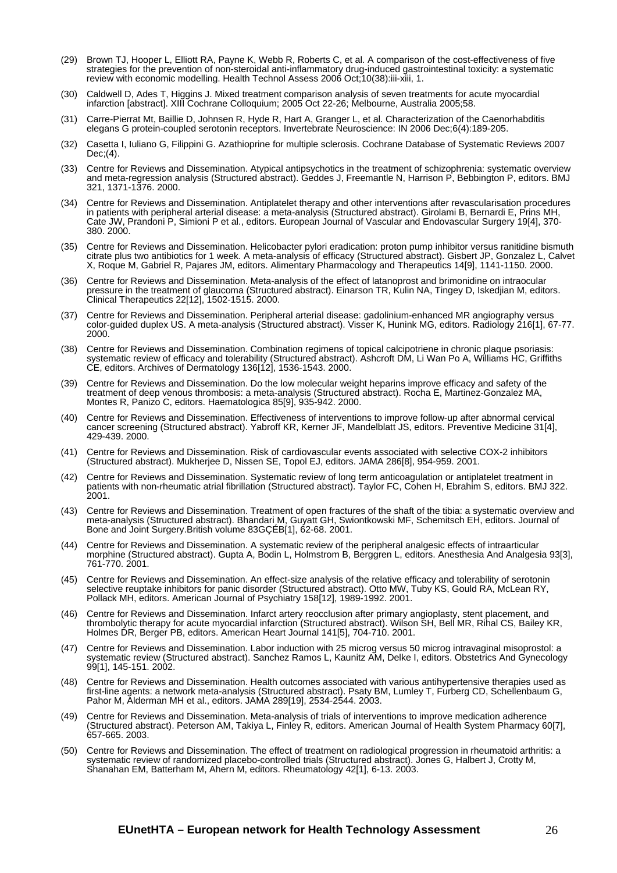- (29) Brown TJ, Hooper L, Elliott RA, Payne K, Webb R, Roberts C, et al. A comparison of the cost-effectiveness of five strategies for the prevention of non-steroidal anti-inflammatory drug-induced gastrointestinal toxicity: a systematic review with economic modelling. Health Technol Assess 2006 Oct;10(38):iii-xiii, 1.
- (30) Caldwell D, Ades T, Higgins J. Mixed treatment comparison analysis of seven treatments for acute myocardial infarction [abstract]. XIII Cochrane Colloquium; 2005 Oct 22-26; Melbourne, Australia 2005;58.
- (31) Carre-Pierrat Mt, Baillie D, Johnsen R, Hyde R, Hart A, Granger L, et al. Characterization of the Caenorhabditis elegans G protein-coupled serotonin receptors. Invertebrate Neuroscience: IN 2006 Dec;6(4):189-205.
- (32) Casetta I, Iuliano G, Filippini G. Azathioprine for multiple sclerosis. Cochrane Database of Systematic Reviews 2007 Dec;(4).
- (33) Centre for Reviews and Dissemination. Atypical antipsychotics in the treatment of schizophrenia: systematic overview and meta-regression analysis (Structured abstract). Geddes J, Freemantle N, Harrison P, Bebbington P, editors. BMJ 321, 1371-1376. 2000.
- (34) Centre for Reviews and Dissemination. Antiplatelet therapy and other interventions after revascularisation procedures in patients with peripheral arterial disease: a meta-analysis (Structured abstract). Girolami B, Bernardi E, Prins MH, Cate JW, Prandoni P, Simioni P et al., editors. European Journal of Vascular and Endovascular Surgery 19[4], 370- 380. 2000.
- (35) Centre for Reviews and Dissemination. Helicobacter pylori eradication: proton pump inhibitor versus ranitidine bismuth citrate plus two antibiotics for 1 week. A meta-analysis of efficacy (Structured abstract). Gisbert JP, Gonzalez L, Calvet X, Roque M, Gabriel R, Pajares JM, editors. Alimentary Pharmacology and Therapeutics 14[9], 1141-1150. 2000.
- (36) Centre for Reviews and Dissemination. Meta-analysis of the effect of latanoprost and brimonidine on intraocular pressure in the treatment of glaucoma (Structured abstract). Einarson TR, Kulin NA, Tingey D, Iskedjian M, editors. Clinical Therapeutics 22[12], 1502-1515. 2000.
- (37) Centre for Reviews and Dissemination. Peripheral arterial disease: gadolinium-enhanced MR angiography versus color-guided duplex US. A meta-analysis (Structured abstract). Visser K, Hunink MG, editors. Radiology 216[1], 67-77. 2000.
- (38) Centre for Reviews and Dissemination. Combination regimens of topical calcipotriene in chronic plaque psoriasis: systematic review of efficacy and tolerability (Structured abstract). Ashcroft DM, Li Wan Po A, Williams HC, Griffiths CE, editors. Archives of Dermatology 136[12], 1536-1543. 2000.
- (39) Centre for Reviews and Dissemination. Do the low molecular weight heparins improve efficacy and safety of the treatment of deep venous thrombosis: a meta-analysis (Structured abstract). Rocha E, Martinez-Gonzalez MA, Montes R, Panizo C, editors. Haematologica 85[9], 935-942. 2000.
- (40) Centre for Reviews and Dissemination. Effectiveness of interventions to improve follow-up after abnormal cervical cancer screening (Structured abstract). Yabroff KR, Kerner JF, Mandelblatt JS, editors. Preventive Medicine 31[4], 429-439. 2000.
- (41) Centre for Reviews and Dissemination. Risk of cardiovascular events associated with selective COX-2 inhibitors (Structured abstract). Mukherjee D, Nissen SE, Topol EJ, editors. JAMA 286[8], 954-959. 2001.
- (42) Centre for Reviews and Dissemination. Systematic review of long term anticoagulation or antiplatelet treatment in patients with non-rheumatic atrial fibrillation (Structured abstract). Taylor FC, Cohen H, Ebrahim S, editors. BMJ 322. 2001.
- (43) Centre for Reviews and Dissemination. Treatment of open fractures of the shaft of the tibia: a systematic overview and meta-analysis (Structured abstract). Bhandari M, Guyatt GH, Swiontkowski MF, Schemitsch EH, editors. Journal of Bone and Joint Surgery.British volume 83GÇÉB[1], 62-68. 2001.
- (44) Centre for Reviews and Dissemination. A systematic review of the peripheral analgesic effects of intraarticular morphine (Structured abstract). Gupta A, Bodin L, Holmstrom B, Berggren L, editors. Anesthesia And Analgesia 93[3], 761-770. 2001.
- (45) Centre for Reviews and Dissemination. An effect-size analysis of the relative efficacy and tolerability of serotonin selective reuptake inhibitors for panic disorder (Structured abstract). Otto MW, Tuby KS, Gould RA, McLean RY, Pollack MH, editors. American Journal of Psychiatry 158[12], 1989-1992. 2001.
- (46) Centre for Reviews and Dissemination. Infarct artery reocclusion after primary angioplasty, stent placement, and thrombolytic therapy for acute myocardial infarction (Structured abstract). Wilson SH, Bell MR, Rihal CS, Bailey KR, Holmes DR, Berger PB, editors. American Heart Journal 141[5], 704-710. 2001.
- (47) Centre for Reviews and Dissemination. Labor induction with 25 microg versus 50 microg intravaginal misoprostol: a systematic review (Structured abstract). Sanchez Ramos L, Kaunitz AM, Delke I, editors. Obstetrics And Gynecology 99[1], 145-151. 2002.
- (48) Centre for Reviews and Dissemination. Health outcomes associated with various antihypertensive therapies used as first-line agents: a network meta-analysis (Structured abstract). Psaty BM, Lumley T, Furberg CD, Schellenbaum G, Pahor M, Alderman MH et al., editors. JAMA 289[19], 2534-2544. 2003.
- (49) Centre for Reviews and Dissemination. Meta-analysis of trials of interventions to improve medication adherence (Structured abstract). Peterson AM, Takiya L, Finley R, editors. American Journal of Health System Pharmacy 60[7], 657-665. 2003.
- (50) Centre for Reviews and Dissemination. The effect of treatment on radiological progression in rheumatoid arthritis: a systematic review of randomized placebo-controlled trials (Structured abstract). Jones G, Halbert J, Crotty M, Shanahan EM, Batterham M, Ahern M, editors. Rheumatology 42[1], 6-13. 2003.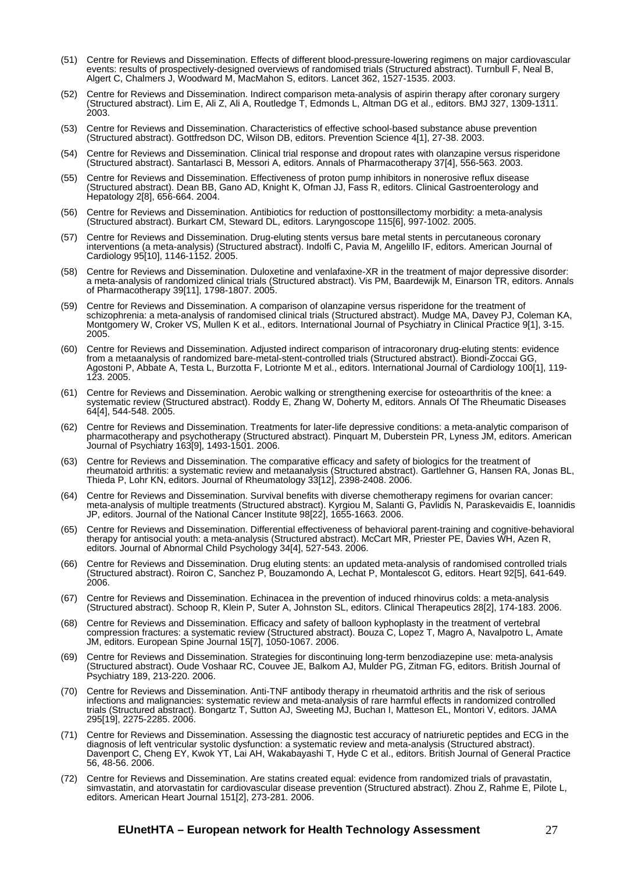- (51) Centre for Reviews and Dissemination. Effects of different blood-pressure-lowering regimens on major cardiovascular events: results of prospectively-designed overviews of randomised trials (Structured abstract). Turnbull F, Neal B, Algert C, Chalmers J, Woodward M, MacMahon S, editors. Lancet 362, 1527-1535. 2003.
- (52) Centre for Reviews and Dissemination. Indirect comparison meta-analysis of aspirin therapy after coronary surgery (Structured abstract). Lim E, Ali Z, Ali A, Routledge T, Edmonds L, Altman DG et al., editors. BMJ 327, 1309-1311. 2003.
- (53) Centre for Reviews and Dissemination. Characteristics of effective school-based substance abuse prevention (Structured abstract). Gottfredson DC, Wilson DB, editors. Prevention Science 4[1], 27-38. 2003.
- (54) Centre for Reviews and Dissemination. Clinical trial response and dropout rates with olanzapine versus risperidone (Structured abstract). Santarlasci B, Messori A, editors. Annals of Pharmacotherapy 37[4], 556-563. 2003.
- (55) Centre for Reviews and Dissemination. Effectiveness of proton pump inhibitors in nonerosive reflux disease (Structured abstract). Dean BB, Gano AD, Knight K, Ofman JJ, Fass R, editors. Clinical Gastroenterology and Hepatology 2[8], 656-664. 2004.
- (56) Centre for Reviews and Dissemination. Antibiotics for reduction of posttonsillectomy morbidity: a meta-analysis (Structured abstract). Burkart CM, Steward DL, editors. Laryngoscope 115[6], 997-1002. 2005.
- Centre for Reviews and Dissemination. Drug-eluting stents versus bare metal stents in percutaneous coronary interventions (a meta-analysis) (Structured abstract). Indolfi C, Pavia M, Angelillo IF, editors. American Journal of Cardiology 95[10], 1146-1152. 2005.
- (58) Centre for Reviews and Dissemination. Duloxetine and venlafaxine-XR in the treatment of major depressive disorder: a meta-analysis of randomized clinical trials (Structured abstract). Vis PM, Baardewijk M, Einarson TR, editors. Annals of Pharmacotherapy 39[11], 1798-1807. 2005.
- (59) Centre for Reviews and Dissemination. A comparison of olanzapine versus risperidone for the treatment of schizophrenia: a meta-analysis of randomised clinical trials (Structured abstract). Mudge MA, Davey PJ, Coleman KA, Montgomery W, Croker VS, Mullen K et al., editors. International Journal of Psychiatry in Clinical Practice 9[1], 3-15. 2005.
- (60) Centre for Reviews and Dissemination. Adjusted indirect comparison of intracoronary drug-eluting stents: evidence from a metaanalysis of randomized bare-metal-stent-controlled trials (Structured abstract). Biondi-Zoccai GG, Agostoni P, Abbate A, Testa L, Burzotta F, Lotrionte M et al., editors. International Journal of Cardiology 100[1], 119- 123. 2005.
- (61) Centre for Reviews and Dissemination. Aerobic walking or strengthening exercise for osteoarthritis of the knee: a systematic review (Structured abstract). Roddy E, Zhang W, Doherty M, editors. Annals Of The Rheumatic Diseases 64[4], 544-548. 2005.
- (62) Centre for Reviews and Dissemination. Treatments for later-life depressive conditions: a meta-analytic comparison of pharmacotherapy and psychotherapy (Structured abstract). Pinquart M, Duberstein PR, Lyness JM, editors. American Journal of Psychiatry 163[9], 1493-1501. 2006.
- (63) Centre for Reviews and Dissemination. The comparative efficacy and safety of biologics for the treatment of rheumatoid arthritis: a systematic review and metaanalysis (Structured abstract). Gartlehner G, Hansen RA, Jonas BL, Thieda P, Lohr KN, editors. Journal of Rheumatology 33[12], 2398-2408. 2006.
- (64) Centre for Reviews and Dissemination. Survival benefits with diverse chemotherapy regimens for ovarian cancer: meta-analysis of multiple treatments (Structured abstract). Kyrgiou M, Salanti G, Pavlidis N, Paraskevaidis E, Ioannidis JP, editors. Journal of the National Cancer Institute 98[22], 1655-1663. 2006.
- (65) Centre for Reviews and Dissemination. Differential effectiveness of behavioral parent-training and cognitive-behavioral therapy for antisocial youth: a meta-analysis (Structured abstract). McCart MR, Priester PE, Davies WH, Azen R, editors. Journal of Abnormal Child Psychology 34[4], 527-543. 2006.
- (66) Centre for Reviews and Dissemination. Drug eluting stents: an updated meta-analysis of randomised controlled trials (Structured abstract). Roiron C, Sanchez P, Bouzamondo A, Lechat P, Montalescot G, editors. Heart 92[5], 641-649. 2006.
- (67) Centre for Reviews and Dissemination. Echinacea in the prevention of induced rhinovirus colds: a meta-analysis (Structured abstract). Schoop R, Klein P, Suter A, Johnston SL, editors. Clinical Therapeutics 28[2], 174-183. 2006.
- (68) Centre for Reviews and Dissemination. Efficacy and safety of balloon kyphoplasty in the treatment of vertebral compression fractures: a systematic review (Structured abstract). Bouza C, Lopez T, Magro A, Navalpotro L, Amate JM, editors. European Spine Journal 15[7], 1050-1067. 2006.
- (69) Centre for Reviews and Dissemination. Strategies for discontinuing long-term benzodiazepine use: meta-analysis (Structured abstract). Oude Voshaar RC, Couvee JE, Balkom AJ, Mulder PG, Zitman FG, editors. British Journal of Psychiatry 189, 213-220. 2006.
- (70) Centre for Reviews and Dissemination. Anti-TNF antibody therapy in rheumatoid arthritis and the risk of serious infections and malignancies: systematic review and meta-analysis of rare harmful effects in randomized controlled trials (Structured abstract). Bongartz T, Sutton AJ, Sweeting MJ, Buchan I, Matteson EL, Montori V, editors. JAMA 295[19], 2275-2285. 2006.
- Centre for Reviews and Dissemination. Assessing the diagnostic test accuracy of natriuretic peptides and ECG in the diagnosis of left ventricular systolic dysfunction: a systematic review and meta-analysis (Structured abstract). Davenport C, Cheng EY, Kwok YT, Lai AH, Wakabayashi T, Hyde C et al., editors. British Journal of General Practice 56, 48-56. 2006.
- (72) Centre for Reviews and Dissemination. Are statins created equal: evidence from randomized trials of pravastatin, simvastatin, and atorvastatin for cardiovascular disease prevention (Structured abstract). Zhou Z, Rahme E, Pilote L, editors. American Heart Journal 151[2], 273-281. 2006.

#### **EUnetHTA – European network for Health Technology Assessment** 27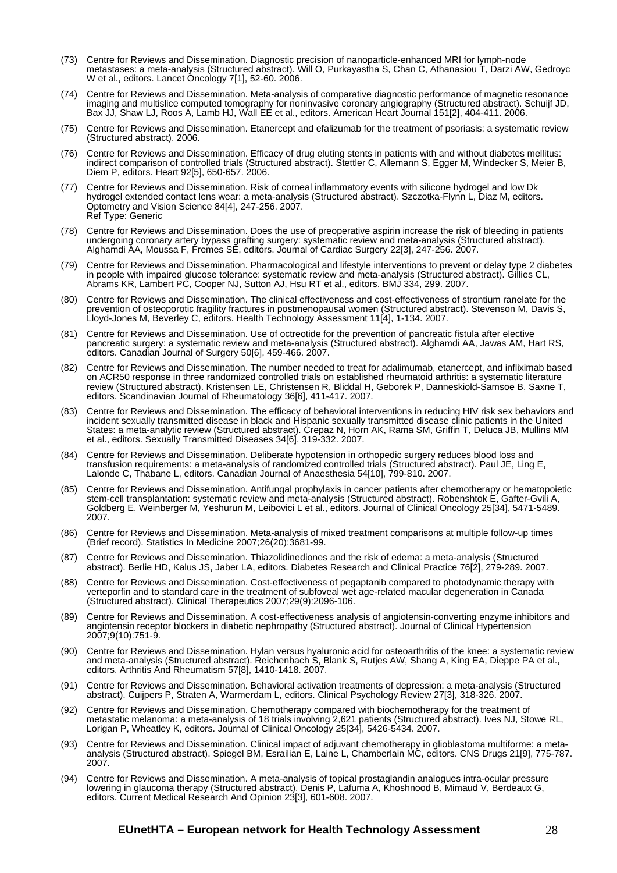- (73) Centre for Reviews and Dissemination. Diagnostic precision of nanoparticle-enhanced MRI for lymph-node metastases: a meta-analysis (Structured abstract). Will O, Purkayastha S, Chan C, Athanasiou T, Darzi AW, Gedroyc W et al., editors. Lancet Oncology 7[1], 52-60. 2006.
- (74) Centre for Reviews and Dissemination. Meta-analysis of comparative diagnostic performance of magnetic resonance imaging and multislice computed tomography for noninvasive coronary angiography (Structured abstract). Schuijf JD, Bax JJ, Shaw LJ, Roos A, Lamb HJ, Wall EE et al., editors. American Heart Journal 151[2], 404-411. 2006.
- (75) Centre for Reviews and Dissemination. Etanercept and efalizumab for the treatment of psoriasis: a systematic review (Structured abstract). 2006.
- (76) Centre for Reviews and Dissemination. Efficacy of drug eluting stents in patients with and without diabetes mellitus: indirect comparison of controlled trials (Structured abstract). Stettler C, Allemann S, Egger M, Windecker S, Meier B, Diem P, editors. Heart 92[5], 650-657. 2006.
- (77) Centre for Reviews and Dissemination. Risk of corneal inflammatory events with silicone hydrogel and low Dk hydrogel extended contact lens wear: a meta-analysis (Structured abstract). Szczotka-Flynn L, Diaz M, editors. Optometry and Vision Science 84[4], 247-256. 2007. Ref Type: Generic
- (78) Centre for Reviews and Dissemination. Does the use of preoperative aspirin increase the risk of bleeding in patients undergoing coronary artery bypass grafting surgery: systematic review and meta-analysis (Structured abstract). Alghamdi AA, Moussa F, Fremes SE, editors. Journal of Cardiac Surgery 22[3], 247-256. 2007.
- (79) Centre for Reviews and Dissemination. Pharmacological and lifestyle interventions to prevent or delay type 2 diabetes in people with impaired glucose tolerance: systematic review and meta-analysis (Structured abstract). Gillies CL, Abrams KR, Lambert PC, Cooper NJ, Sutton AJ, Hsu RT et al., editors. BMJ 334, 299. 2007.
- (80) Centre for Reviews and Dissemination. The clinical effectiveness and cost-effectiveness of strontium ranelate for the prevention of osteoporotic fragility fractures in postmenopausal women (Structured abstract). Stevenson M, Davis S, Lloyd-Jones M, Beverley C, editors. Health Technology Assessment 11[4], 1-134. 2007.
- (81) Centre for Reviews and Dissemination. Use of octreotide for the prevention of pancreatic fistula after elective pancreatic surgery: a systematic review and meta-analysis (Structured abstract). Alghamdi AA, Jawas AM, Hart RS, editors. Canadian Journal of Surgery 50[6], 459-466. 2007.
- (82) Centre for Reviews and Dissemination. The number needed to treat for adalimumab, etanercept, and infliximab based on ACR50 response in three randomized controlled trials on established rheumatoid arthritis: a systematic literature review (Structured abstract). Kristensen LE, Christensen R, Bliddal H, Geborek P, Danneskiold-Samsoe B, Saxne T, editors. Scandinavian Journal of Rheumatology 36[6], 411-417. 2007.
- (83) Centre for Reviews and Dissemination. The efficacy of behavioral interventions in reducing HIV risk sex behaviors and incident sexually transmitted disease in black and Hispanic sexually transmitted disease clinic patients in the United States: a meta-analytic review (Structured abstract). Crepaz N, Horn AK, Rama SM, Griffin T, Deluca JB, Mullins MM et al., editors. Sexually Transmitted Diseases 34[6], 319-332. 2007.
- (84) Centre for Reviews and Dissemination. Deliberate hypotension in orthopedic surgery reduces blood loss and transfusion requirements: a meta-analysis of randomized controlled trials (Structured abstract). Paul JE, Ling E, Lalonde C, Thabane L, editors. Canadian Journal of Anaesthesia 54[10], 799-810. 2007.
- (85) Centre for Reviews and Dissemination. Antifungal prophylaxis in cancer patients after chemotherapy or hematopoietic stem-cell transplantation: systematic review and meta-analysis (Structured abstract). Robenshtok E, Gafter-Gvili A, Goldberg E, Weinberger M, Yeshurun M, Leibovici L et al., editors. Journal of Clinical Oncology 25[34], 5471-5489. 2007.
- (86) Centre for Reviews and Dissemination. Meta-analysis of mixed treatment comparisons at multiple follow-up times (Brief record). Statistics In Medicine 2007;26(20):3681-99.
- (87) Centre for Reviews and Dissemination. Thiazolidinediones and the risk of edema: a meta-analysis (Structured abstract). Berlie HD, Kalus JS, Jaber LA, editors. Diabetes Research and Clinical Practice 76[2], 279-289. 2007.
- (88) Centre for Reviews and Dissemination. Cost-effectiveness of pegaptanib compared to photodynamic therapy with verteporfin and to standard care in the treatment of subfoveal wet age-related macular degeneration in Canada (Structured abstract). Clinical Therapeutics 2007;29(9):2096-106.
- (89) Centre for Reviews and Dissemination. A cost-effectiveness analysis of angiotensin-converting enzyme inhibitors and angiotensin receptor blockers in diabetic nephropathy (Structured abstract). Journal of Clinical Hypertension 2007;9(10):751-9.
- (90) Centre for Reviews and Dissemination. Hylan versus hyaluronic acid for osteoarthritis of the knee: a systematic review and meta-analysis (Structured abstract). Reichenbach S, Blank S, Rutjes AW, Shang A, King EA, Dieppe PA et al., editors. Arthritis And Rheumatism 57[8], 1410-1418. 2007.
- (91) Centre for Reviews and Dissemination. Behavioral activation treatments of depression: a meta-analysis (Structured abstract). Cuijpers P, Straten A, Warmerdam L, editors. Clinical Psychology Review 27[3], 318-326. 2007.
- (92) Centre for Reviews and Dissemination. Chemotherapy compared with biochemotherapy for the treatment of metastatic melanoma: a meta-analysis of 18 trials involving 2,621 patients (Structured abstract). Ives NJ, Stowe RL, Lorigan P, Wheatley K, editors. Journal of Clinical Oncology 25[34], 5426-5434. 2007.
- (93) Centre for Reviews and Dissemination. Clinical impact of adjuvant chemotherapy in glioblastoma multiforme: a metaanalysis (Structured abstract). Spiegel BM, Esrailian E, Laine L, Chamberlain MC, editors. CNS Drugs 21[9], 775-787. 2007.
- (94) Centre for Reviews and Dissemination. A meta-analysis of topical prostaglandin analogues intra-ocular pressure lowering in glaucoma therapy (Structured abstract). Denis P, Lafuma A, Khoshnood B, Mimaud V, Berdeaux G, editors. Current Medical Research And Opinion 23[3], 601-608. 2007.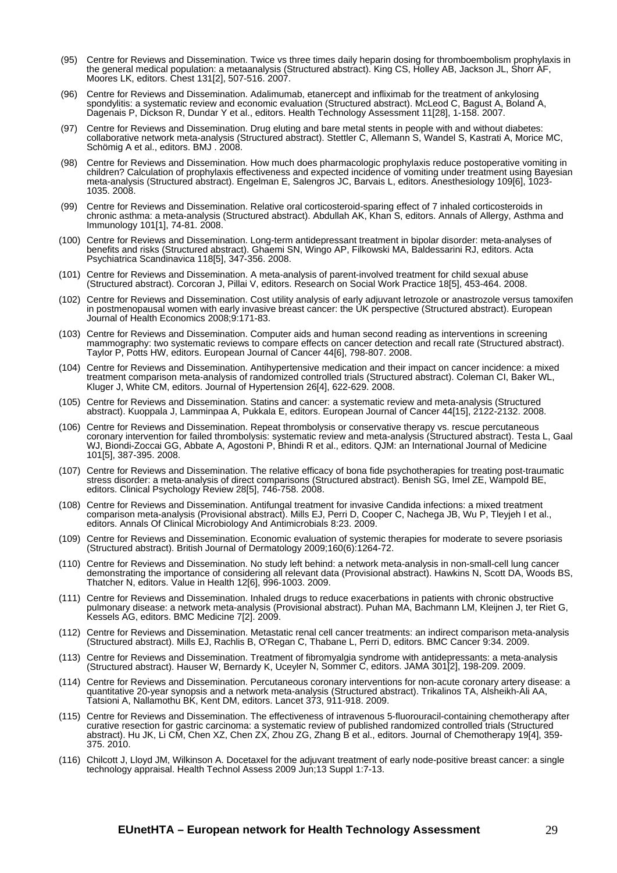- (95) Centre for Reviews and Dissemination. Twice vs three times daily heparin dosing for thromboembolism prophylaxis in the general medical population: a metaanalysis (Structured abstract). King CS, Holley AB, Jackson JL, Shorr AF, Moores LK, editors. Chest 131[2], 507-516. 2007.
- (96) Centre for Reviews and Dissemination. Adalimumab, etanercept and infliximab for the treatment of ankylosing spondylitis: a systematic review and economic evaluation (Structured abstract). McLeod C, Bagust A, Boland A, Dagenais P, Dickson R, Dundar Y et al., editors. Health Technology Assessment 11[28], 1-158. 2007.
- (97) Centre for Reviews and Dissemination. Drug eluting and bare metal stents in people with and without diabetes: collaborative network meta-analysis (Structured abstract). Stettler C, Allemann S, Wandel S, Kastrati A, Morice MC, Schömig A et al., editors. BMJ . 2008.
- (98) Centre for Reviews and Dissemination. How much does pharmacologic prophylaxis reduce postoperative vomiting in children? Calculation of prophylaxis effectiveness and expected incidence of vomiting under treatment using Bayesian meta-analysis (Structured abstract). Engelman E, Salengros JC, Barvais L, editors. Anesthesiology 109[6], 1023- 1035. 2008.
- (99) Centre for Reviews and Dissemination. Relative oral corticosteroid-sparing effect of 7 inhaled corticosteroids in chronic asthma: a meta-analysis (Structured abstract). Abdullah AK, Khan S, editors. Annals of Allergy, Asthma and Immunology 101[1], 74-81. 2008.
- (100) Centre for Reviews and Dissemination. Long-term antidepressant treatment in bipolar disorder: meta-analyses of benefits and risks (Structured abstract). Ghaemi SN, Wingo AP, Filkowski MA, Baldessarini RJ, editors. Acta Psychiatrica Scandinavica 118[5], 347-356. 2008.
- (101) Centre for Reviews and Dissemination. A meta-analysis of parent-involved treatment for child sexual abuse (Structured abstract). Corcoran J, Pillai V, editors. Research on Social Work Practice 18[5], 453-464. 2008.
- (102) Centre for Reviews and Dissemination. Cost utility analysis of early adjuvant letrozole or anastrozole versus tamoxifen in postmenopausal women with early invasive breast cancer: the UK perspective (Structured abstract). European Journal of Health Economics 2008;9:171-83.
- (103) Centre for Reviews and Dissemination. Computer aids and human second reading as interventions in screening mammography: two systematic reviews to compare effects on cancer detection and recall rate (Structured abstract). Taylor P, Potts HW, editors. European Journal of Cancer 44[6], 798-807. 2008.
- (104) Centre for Reviews and Dissemination. Antihypertensive medication and their impact on cancer incidence: a mixed treatment comparison meta-analysis of randomized controlled trials (Structured abstract). Coleman CI, Baker WL, Kluger J, White CM, editors. Journal of Hypertension 26[4], 622-629. 2008.
- (105) Centre for Reviews and Dissemination. Statins and cancer: a systematic review and meta-analysis (Structured abstract). Kuoppala J, Lamminpaa A, Pukkala E, editors. European Journal of Cancer 44[15], 2122-2132. 2008.
- (106) Centre for Reviews and Dissemination. Repeat thrombolysis or conservative therapy vs. rescue percutaneous coronary intervention for failed thrombolysis: systematic review and meta-analysis (Structured abstract). Testa L, Gaal WJ, Biondi-Zoccai GG, Abbate A, Agostoni P, Bhindi R et al., editors. QJM: an International Journal of Medicine 101[5], 387-395. 2008.
- (107) Centre for Reviews and Dissemination. The relative efficacy of bona fide psychotherapies for treating post-traumatic stress disorder: a meta-analysis of direct comparisons (Structured abstract). Benish SG, Imel ZE, Wampold BE, editors. Clinical Psychology Review 28[5], 746-758. 2008.
- (108) Centre for Reviews and Dissemination. Antifungal treatment for invasive Candida infections: a mixed treatment comparison meta-analysis (Provisional abstract). Mills EJ, Perri D, Cooper C, Nachega JB, Wu P, Tleyjeh I et al., editors. Annals Of Clinical Microbiology And Antimicrobials 8:23. 2009.
- (109) Centre for Reviews and Dissemination. Economic evaluation of systemic therapies for moderate to severe psoriasis (Structured abstract). British Journal of Dermatology 2009;160(6):1264-72.
- (110) Centre for Reviews and Dissemination. No study left behind: a network meta-analysis in non-small-cell lung cancer demonstrating the importance of considering all relevant data (Provisional abstract). Hawkins N, Scott DA, Woods BS, Thatcher N, editors. Value in Health 12[6], 996-1003. 2009.
- (111) Centre for Reviews and Dissemination. Inhaled drugs to reduce exacerbations in patients with chronic obstructive pulmonary disease: a network meta-analysis (Provisional abstract). Puhan MA, Bachmann LM, Kleijnen J, ter Riet G, Kessels AG, editors. BMC Medicine 7[2]. 2009.
- (112) Centre for Reviews and Dissemination. Metastatic renal cell cancer treatments: an indirect comparison meta-analysis (Structured abstract). Mills EJ, Rachlis B, O'Regan C, Thabane L, Perri D, editors. BMC Cancer 9:34. 2009.
- (113) Centre for Reviews and Dissemination. Treatment of fibromyalgia syndrome with antidepressants: a meta-analysis (Structured abstract). Hauser W, Bernardy K, Uceyler N, Sommer C, editors. JAMA 301[2], 198-209. 2009.
- (114) Centre for Reviews and Dissemination. Percutaneous coronary interventions for non-acute coronary artery disease: a quantitative 20-year synopsis and a network meta-analysis (Structured abstract). Trikalinos TA, Alsheikh-Ali AA, Tatsioni A, Nallamothu BK, Kent DM, editors. Lancet 373, 911-918. 2009.
- (115) Centre for Reviews and Dissemination. The effectiveness of intravenous 5-fluorouracil-containing chemotherapy after curative resection for gastric carcinoma: a systematic review of published randomized controlled trials (Structured abstract). Hu JK, Li CM, Chen XZ, Chen ZX, Zhou ZG, Zhang B et al., editors. Journal of Chemotherapy 19[4], 359- 375. 2010.
- (116) Chilcott J, Lloyd JM, Wilkinson A. Docetaxel for the adjuvant treatment of early node-positive breast cancer: a single technology appraisal. Health Technol Assess 2009 Jun;13 Suppl 1:7-13.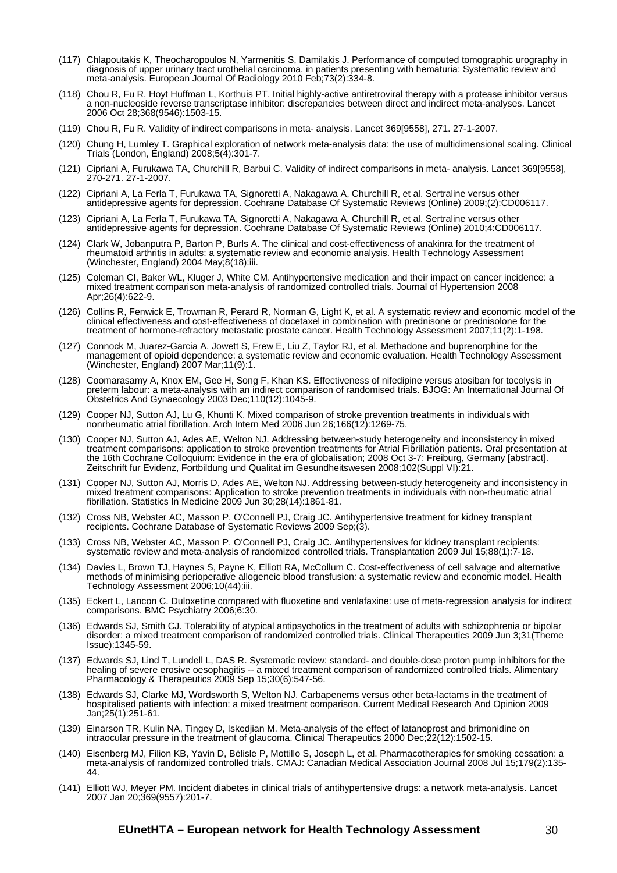- (117) Chlapoutakis K, Theocharopoulos N, Yarmenitis S, Damilakis J. Performance of computed tomographic urography in diagnosis of upper urinary tract urothelial carcinoma, in patients presenting with hematuria: Systematic review and meta-analysis. European Journal Of Radiology 2010 Feb;73(2):334-8.
- (118) Chou R, Fu R, Hoyt Huffman L, Korthuis PT. Initial highly-active antiretroviral therapy with a protease inhibitor versus a non-nucleoside reverse transcriptase inhibitor: discrepancies between direct and indirect meta-analyses. Lancet 2006 Oct 28;368(9546):1503-15.
- (119) Chou R, Fu R. Validity of indirect comparisons in meta- analysis. Lancet 369[9558], 271. 27-1-2007.
- (120) Chung H, Lumley T. Graphical exploration of network meta-analysis data: the use of multidimensional scaling. Clinical Trials (London, England) 2008;5(4):301-7.
- (121) Cipriani A, Furukawa TA, Churchill R, Barbui C. Validity of indirect comparisons in meta- analysis. Lancet 369[9558], 270-271. 27-1-2007.
- (122) Cipriani A, La Ferla T, Furukawa TA, Signoretti A, Nakagawa A, Churchill R, et al. Sertraline versus other antidepressive agents for depression. Cochrane Database Of Systematic Reviews (Online) 2009;(2):CD006117.
- (123) Cipriani A, La Ferla T, Furukawa TA, Signoretti A, Nakagawa A, Churchill R, et al. Sertraline versus other antidepressive agents for depression. Cochrane Database Of Systematic Reviews (Online) 2010;4:CD006117.
- (124) Clark W, Jobanputra P, Barton P, Burls A. The clinical and cost-effectiveness of anakinra for the treatment of rheumatoid arthritis in adults: a systematic review and economic analysis. Health Technology Assessment (Winchester, England) 2004 May;8(18):iii.
- (125) Coleman CI, Baker WL, Kluger J, White CM. Antihypertensive medication and their impact on cancer incidence: a mixed treatment comparison meta-analysis of randomized controlled trials. Journal of Hypertension 2008 Apr;26(4):622-9.
- (126) Collins R, Fenwick E, Trowman R, Perard R, Norman G, Light K, et al. A systematic review and economic model of the clinical effectiveness and cost-effectiveness of docetaxel in combination with prednisone or prednisolone for the treatment of hormone-refractory metastatic prostate cancer. Health Technology Assessment 2007;11(2):1-198.
- (127) Connock M, Juarez-Garcia A, Jowett S, Frew E, Liu Z, Taylor RJ, et al. Methadone and buprenorphine for the management of opioid dependence: a systematic review and economic evaluation. Health Technology Assessment (Winchester, England) 2007 Mar;11(9):1.
- (128) Coomarasamy A, Knox EM, Gee H, Song F, Khan KS. Effectiveness of nifedipine versus atosiban for tocolysis in preterm labour: a meta-analysis with an indirect comparison of randomised trials. BJOG: An International Journal Of Obstetrics And Gynaecology 2003 Dec;110(12):1045-9.
- (129) Cooper NJ, Sutton AJ, Lu G, Khunti K. Mixed comparison of stroke prevention treatments in individuals with nonrheumatic atrial fibrillation. Arch Intern Med 2006 Jun 26;166(12):1269-75.
- (130) Cooper NJ, Sutton AJ, Ades AE, Welton NJ. Addressing between-study heterogeneity and inconsistency in mixed treatment comparisons: application to stroke prevention treatments for Atrial Fibrillation patients. Oral presentation at the 16th Cochrane Colloquium: Evidence in the era of globalisation; 2008 Oct 3-7; Freiburg, Germany [abstract]. Zeitschrift fur Evidenz, Fortbildung und Qualitat im Gesundheitswesen 2008;102(Suppl VI):21.
- (131) Cooper NJ, Sutton AJ, Morris D, Ades AE, Welton NJ. Addressing between-study heterogeneity and inconsistency in mixed treatment comparisons: Application to stroke prevention treatments in individuals with non-rheumatic atrial fibrillation. Statistics In Medicine 2009 Jun 30;28(14):1861-81.
- (132) Cross NB, Webster AC, Masson P, O'Connell PJ, Craig JC. Antihypertensive treatment for kidney transplant recipients. Cochrane Database of Systematic Reviews 2009 Sep;(3).
- (133) Cross NB, Webster AC, Masson P, O'Connell PJ, Craig JC. Antihypertensives for kidney transplant recipients: systematic review and meta-analysis of randomized controlled trials. Transplantation 2009 Jul 15;88(1):7-18.
- (134) Davies L, Brown TJ, Haynes S, Payne K, Elliott RA, McCollum C. Cost-effectiveness of cell salvage and alternative methods of minimising perioperative allogeneic blood transfusion: a systematic review and economic model. Health Technology Assessment 2006;10(44):iii.
- (135) Eckert L, Lancon C. Duloxetine compared with fluoxetine and venlafaxine: use of meta-regression analysis for indirect comparisons. BMC Psychiatry 2006;6:30.
- (136) Edwards SJ, Smith CJ. Tolerability of atypical antipsychotics in the treatment of adults with schizophrenia or bipolar disorder: a mixed treatment comparison of randomized controlled trials. Clinical Therapeutics 2009 Jun 3;31(Theme Issue):1345-59.
- (137) Edwards SJ, Lind T, Lundell L, DAS R. Systematic review: standard- and double-dose proton pump inhibitors for the healing of severe erosive oesophagitis -- a mixed treatment comparison of randomized controlled trials. Alimentary Pharmacology & Therapeutics 2009 Sep 15;30(6):547-56.
- (138) Edwards SJ, Clarke MJ, Wordsworth S, Welton NJ. Carbapenems versus other beta-lactams in the treatment of hospitalised patients with infection: a mixed treatment comparison. Current Medical Research And Opinion 2009 Jan;25(1):251-61.
- (139) Einarson TR, Kulin NA, Tingey D, Iskedjian M. Meta-analysis of the effect of latanoprost and brimonidine on intraocular pressure in the treatment of glaucoma. Clinical Therapeutics 2000 Dec;22(12):1502-15.
- (140) Eisenberg MJ, Filion KB, Yavin D, Bélisle P, Mottillo S, Joseph L, et al. Pharmacotherapies for smoking cessation: a meta-analysis of randomized controlled trials. CMAJ: Canadian Medical Association Journal 2008 Jul 15;179(2):135- 44.
- (141) Elliott WJ, Meyer PM. Incident diabetes in clinical trials of antihypertensive drugs: a network meta-analysis. Lancet 2007 Jan 20;369(9557):201-7.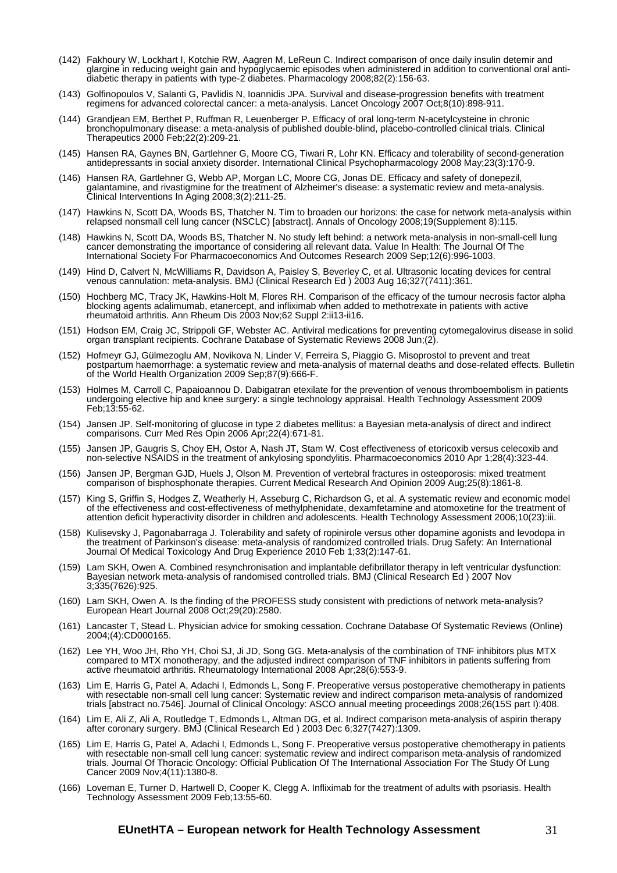- (142) Fakhoury W, Lockhart I, Kotchie RW, Aagren M, LeReun C. Indirect comparison of once daily insulin detemir and glargine in reducing weight gain and hypoglycaemic episodes when administered in addition to conventional oral antidiabetic therapy in patients with type-2 diabetes. Pharmacology 2008;82(2):156-63.
- (143) Golfinopoulos V, Salanti G, Pavlidis N, Ioannidis JPA. Survival and disease-progression benefits with treatment regimens for advanced colorectal cancer: a meta-analysis. Lancet Oncology 2007 Oct;8(10):898-911.
- (144) Grandjean EM, Berthet P, Ruffman R, Leuenberger P. Efficacy of oral long-term N-acetylcysteine in chronic bronchopulmonary disease: a meta-analysis of published double-blind, placebo-controlled clinical trials. Clinical Therapeutics 2000 Feb;22(2):209-21.
- (145) Hansen RA, Gaynes BN, Gartlehner G, Moore CG, Tiwari R, Lohr KN. Efficacy and tolerability of second-generation antidepressants in social anxiety disorder. International Clinical Psychopharmacology 2008 May;23(3):170-9.
- (146) Hansen RA, Gartlehner G, Webb AP, Morgan LC, Moore CG, Jonas DE. Efficacy and safety of donepezil, galantamine, and rivastigmine for the treatment of Alzheimer's disease: a systematic review and meta-analysis. Clinical Interventions In Aging 2008;3(2):211-25.
- (147) Hawkins N, Scott DA, Woods BS, Thatcher N. Tim to broaden our horizons: the case for network meta-analysis within relapsed nonsmall cell lung cancer (NSCLC) [abstract]. Annals of Oncology 2008;19(Supplement 8):115.
- (148) Hawkins N, Scott DA, Woods BS, Thatcher N. No study left behind: a network meta-analysis in non-small-cell lung cancer demonstrating the importance of considering all relevant data. Value In Health: The Journal Of The International Society For Pharmacoeconomics And Outcomes Research 2009 Sep;12(6):996-1003.
- (149) Hind D, Calvert N, McWilliams R, Davidson A, Paisley S, Beverley C, et al. Ultrasonic locating devices for central venous cannulation: meta-analysis. BMJ (Clinical Research Ed ) 2003 Aug 16;327(7411):361.
- (150) Hochberg MC, Tracy JK, Hawkins-Holt M, Flores RH. Comparison of the efficacy of the tumour necrosis factor alpha blocking agents adalimumab, etanercept, and infliximab when added to methotrexate in patients with active rheumatoid arthritis. Ann Rheum Dis 2003 Nov;62 Suppl 2:ii13-ii16.
- (151) Hodson EM, Craig JC, Strippoli GF, Webster AC. Antiviral medications for preventing cytomegalovirus disease in solid organ transplant recipients. Cochrane Database of Systematic Reviews 2008 Jun;(2).
- (152) Hofmeyr GJ, Gülmezoglu AM, Novikova N, Linder V, Ferreira S, Piaggio G. Misoprostol to prevent and treat postpartum haemorrhage: a systematic review and meta-analysis of maternal deaths and dose-related effects. Bulletin of the World Health Organization 2009 Sep;87(9):666-F.
- (153) Holmes M, Carroll C, Papaioannou D. Dabigatran etexilate for the prevention of venous thromboembolism in patients undergoing elective hip and knee surgery: a single technology appraisal. Health Technology Assessment 2009 Feb;13:55-62.
- (154) Jansen JP. Self-monitoring of glucose in type 2 diabetes mellitus: a Bayesian meta-analysis of direct and indirect comparisons. Curr Med Res Opin 2006 Apr;22(4):671-81.
- (155) Jansen JP, Gaugris S, Choy EH, Ostor A, Nash JT, Stam W. Cost effectiveness of etoricoxib versus celecoxib and non-selective NSAIDS in the treatment of ankylosing spondylitis. Pharmacoeconomics 2010 Apr 1;28(4):323-44.
- (156) Jansen JP, Bergman GJD, Huels J, Olson M. Prevention of vertebral fractures in osteoporosis: mixed treatment comparison of bisphosphonate therapies. Current Medical Research And Opinion 2009 Aug;25(8):1861-8.
- (157) King S, Griffin S, Hodges Z, Weatherly H, Asseburg C, Richardson G, et al. A systematic review and economic model of the effectiveness and cost-effectiveness of methylphenidate, dexamfetamine and atomoxetine for the treatment of attention deficit hyperactivity disorder in children and adolescents. Health Technology Assessment 2006;10(23):iii.
- (158) Kulisevsky J, Pagonabarraga J. Tolerability and safety of ropinirole versus other dopamine agonists and levodopa in the treatment of Parkinson's disease: meta-analysis of randomized controlled trials. Drug Safety: An International Journal Of Medical Toxicology And Drug Experience 2010 Feb 1;33(2):147-61.
- (159) Lam SKH, Owen A. Combined resynchronisation and implantable defibrillator therapy in left ventricular dysfunction: Bayesian network meta-analysis of randomised controlled trials. BMJ (Clinical Research Ed ) 2007 Nov 3;335(7626):925.
- (160) Lam SKH, Owen A. Is the finding of the PROFESS study consistent with predictions of network meta-analysis? European Heart Journal 2008 Oct;29(20):2580.
- (161) Lancaster T, Stead L. Physician advice for smoking cessation. Cochrane Database Of Systematic Reviews (Online) 2004;(4):CD000165.
- (162) Lee YH, Woo JH, Rho YH, Choi SJ, Ji JD, Song GG. Meta-analysis of the combination of TNF inhibitors plus MTX compared to MTX monotherapy, and the adjusted indirect comparison of TNF inhibitors in patients suffering from active rheumatoid arthritis. Rheumatology International 2008 Apr;28(6):553-9.
- (163) Lim E, Harris G, Patel A, Adachi I, Edmonds L, Song F. Preoperative versus postoperative chemotherapy in patients with resectable non-small cell lung cancer: Systematic review and indirect comparison meta-analysis of randomized trials [abstract no.7546]. Journal of Clinical Oncology: ASCO annual meeting proceedings 2008;26(15S part I):408.
- (164) Lim E, Ali Z, Ali A, Routledge T, Edmonds L, Altman DG, et al. Indirect comparison meta-analysis of aspirin therapy after coronary surgery. BMJ (Clinical Research Ed ) 2003 Dec 6;327(7427):1309.
- (165) Lim E, Harris G, Patel A, Adachi I, Edmonds L, Song F. Preoperative versus postoperative chemotherapy in patients with resectable non-small cell lung cancer: systematic review and indirect comparison meta-analysis of randomized trials. Journal Of Thoracic Oncology: Official Publication Of The International Association For The Study Of Lung Cancer 2009 Nov;4(11):1380-8.
- (166) Loveman E, Turner D, Hartwell D, Cooper K, Clegg A. Infliximab for the treatment of adults with psoriasis. Health Technology Assessment 2009 Feb;13:55-60.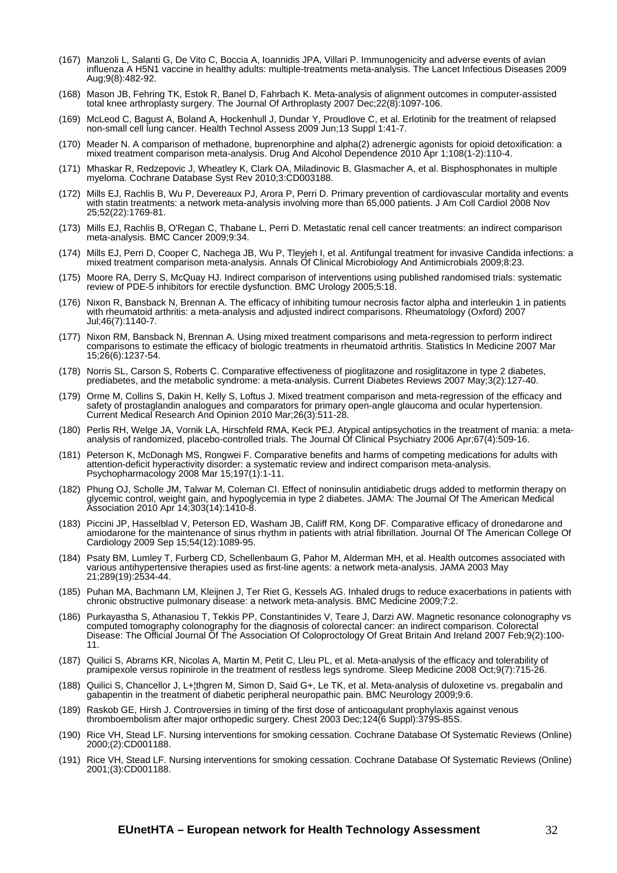- (167) Manzoli L, Salanti G, De Vito C, Boccia A, Ioannidis JPA, Villari P. Immunogenicity and adverse events of avian influenza A H5N1 vaccine in healthy adults: multiple-treatments meta-analysis. The Lancet Infectious Diseases 2009 Aug;9(8):482-92.
- (168) Mason JB, Fehring TK, Estok R, Banel D, Fahrbach K. Meta-analysis of alignment outcomes in computer-assisted total knee arthroplasty surgery. The Journal Of Arthroplasty 2007 Dec;22(8):1097-106.
- (169) McLeod C, Bagust A, Boland A, Hockenhull J, Dundar Y, Proudlove C, et al. Erlotinib for the treatment of relapsed non-small cell lung cancer. Health Technol Assess 2009 Jun;13 Suppl 1:41-7.
- (170) Meader N. A comparison of methadone, buprenorphine and alpha(2) adrenergic agonists for opioid detoxification: a mixed treatment comparison meta-analysis. Drug And Alcohol Dependence 2010 Apr 1;108(1-2):110-4.
- (171) Mhaskar R, Redzepovic J, Wheatley K, Clark OA, Miladinovic B, Glasmacher A, et al. Bisphosphonates in multiple myeloma. Cochrane Database Syst Rev 2010;3:CD003188.
- (172) Mills EJ, Rachlis B, Wu P, Devereaux PJ, Arora P, Perri D. Primary prevention of cardiovascular mortality and events with statin treatments: a network meta-analysis involving more than 65,000 patients. J Am Coll Cardiol 2008 Nov 25;52(22):1769-81.
- (173) Mills EJ, Rachlis B, O'Regan C, Thabane L, Perri D. Metastatic renal cell cancer treatments: an indirect comparison meta-analysis. BMC Cancer 2009;9:34.
- (174) Mills EJ, Perri D, Cooper C, Nachega JB, Wu P, Tleyjeh I, et al. Antifungal treatment for invasive Candida infections: a mixed treatment comparison meta-analysis. Annals Of Clinical Microbiology And Antimicrobials 2009;8:23.
- (175) Moore RA, Derry S, McQuay HJ. Indirect comparison of interventions using published randomised trials: systematic review of PDE-5 inhibitors for erectile dysfunction. BMC Urology 2005;5:18.
- (176) Nixon R, Bansback N, Brennan A. The efficacy of inhibiting tumour necrosis factor alpha and interleukin 1 in patients with rheumatoid arthritis: a meta-analysis and adjusted indirect comparisons. Rheumatology (Oxford) 2007 Jul;46(7):1140-7.
- (177) Nixon RM, Bansback N, Brennan A. Using mixed treatment comparisons and meta-regression to perform indirect comparisons to estimate the efficacy of biologic treatments in rheumatoid arthritis. Statistics In Medicine 2007 Mar 15;26(6):1237-54.
- (178) Norris SL, Carson S, Roberts C. Comparative effectiveness of pioglitazone and rosiglitazone in type 2 diabetes, prediabetes, and the metabolic syndrome: a meta-analysis. Current Diabetes Reviews 2007 May;3(2):127-40.
- (179) Orme M, Collins S, Dakin H, Kelly S, Loftus J. Mixed treatment comparison and meta-regression of the efficacy and safety of prostaglandin analogues and comparators for primary open-angle glaucoma and ocular hypertension. Current Medical Research And Opinion 2010 Mar;26(3):511-28.
- (180) Perlis RH, Welge JA, Vornik LA, Hirschfeld RMA, Keck PEJ. Atypical antipsychotics in the treatment of mania: a metaanalysis of randomized, placebo-controlled trials. The Journal Of Clinical Psychiatry 2006 Apr;67(4):509-16.
- (181) Peterson K, McDonagh MS, Rongwei F. Comparative benefits and harms of competing medications for adults with attention-deficit hyperactivity disorder: a systematic review and indirect comparison meta-analysis. Psychopharmacology 2008 Mar 15;197(1):1-11.
- (182) Phung OJ, Scholle JM, Talwar M, Coleman CI. Effect of noninsulin antidiabetic drugs added to metformin therapy on glycemic control, weight gain, and hypoglycemia in type 2 diabetes. JAMA: The Journal Of The American Medical Association 2010 Apr 14;303(14):1410-8.
- (183) Piccini JP, Hasselblad V, Peterson ED, Washam JB, Califf RM, Kong DF. Comparative efficacy of dronedarone and amiodarone for the maintenance of sinus rhythm in patients with atrial fibrillation. Journal Of The American College Of Cardiology 2009 Sep 15;54(12):1089-95.
- (184) Psaty BM, Lumley T, Furberg CD, Schellenbaum G, Pahor M, Alderman MH, et al. Health outcomes associated with various antihypertensive therapies used as first-line agents: a network meta-analysis. JAMA 2003 May 21;289(19):2534-44.
- (185) Puhan MA, Bachmann LM, Kleijnen J, Ter Riet G, Kessels AG. Inhaled drugs to reduce exacerbations in patients with chronic obstructive pulmonary disease: a network meta-analysis. BMC Medicine 2009;7:2.
- (186) Purkayastha S, Athanasiou T, Tekkis PP, Constantinides V, Teare J, Darzi AW. Magnetic resonance colonography vs computed tomography colonography for the diagnosis of colorectal cancer: an indirect comparison. Colorectal Disease: The Official Journal Of The Association Of Coloproctology Of Great Britain And Ireland 2007 Feb;9(2):100- 11.
- (187) Quilici S, Abrams KR, Nicolas A, Martin M, Petit C, Lleu PL, et al. Meta-analysis of the efficacy and tolerability of pramipexole versus ropinirole in the treatment of restless legs syndrome. Sleep Medicine 2008 Oct;9(7):715-26.
- (188) Quilici S, Chancellor J, L+¦thgren M, Simon D, Said G+, Le TK, et al. Meta-analysis of duloxetine vs. pregabalin and gabapentin in the treatment of diabetic peripheral neuropathic pain. BMC Neurology 2009;9:6.
- (189) Raskob GE, Hirsh J. Controversies in timing of the first dose of anticoagulant prophylaxis against venous thromboembolism after major orthopedic surgery. Chest 2003 Dec;124(6 Suppl):379S-85S.
- (190) Rice VH, Stead LF. Nursing interventions for smoking cessation. Cochrane Database Of Systematic Reviews (Online) 2000;(2):CD001188.
- (191) Rice VH, Stead LF. Nursing interventions for smoking cessation. Cochrane Database Of Systematic Reviews (Online) 2001;(3):CD001188.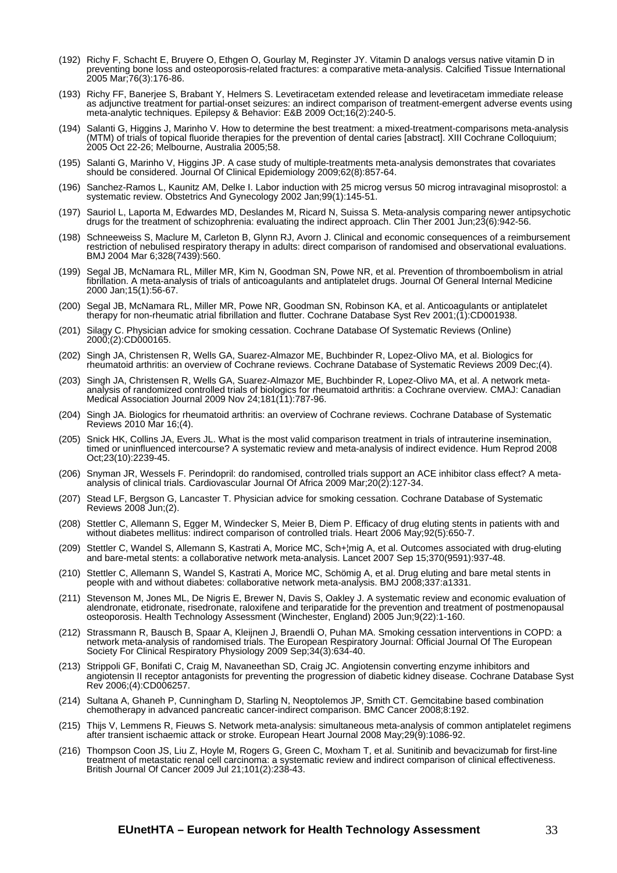- (192) Richy F, Schacht E, Bruyere O, Ethgen O, Gourlay M, Reginster JY. Vitamin D analogs versus native vitamin D in preventing bone loss and osteoporosis-related fractures: a comparative meta-analysis. Calcified Tissue International 2005 Mar;76(3):176-86.
- (193) Richy FF, Banerjee S, Brabant Y, Helmers S. Levetiracetam extended release and levetiracetam immediate release as adjunctive treatment for partial-onset seizures: an indirect comparison of treatment-emergent adverse events using meta-analytic techniques. Epilepsy & Behavior: E&B 2009 Oct;16(2):240-5.
- (194) Salanti G, Higgins J, Marinho V. How to determine the best treatment: a mixed-treatment-comparisons meta-analysis (MTM) of trials of topical fluoride therapies for the prevention of dental caries [abstract]. XIII Cochrane Colloquium; 2005 Oct 22-26; Melbourne, Australia 2005;58.
- (195) Salanti G, Marinho V, Higgins JP. A case study of multiple-treatments meta-analysis demonstrates that covariates should be considered. Journal Of Clinical Epidemiology 2009;62(8):857-64.
- (196) Sanchez-Ramos L, Kaunitz AM, Delke I. Labor induction with 25 microg versus 50 microg intravaginal misoprostol: a systematic review. Obstetrics And Gynecology 2002 Jan;99(1):145-51.
- (197) Sauriol L, Laporta M, Edwardes MD, Deslandes M, Ricard N, Suissa S. Meta-analysis comparing newer antipsychotic drugs for the treatment of schizophrenia: evaluating the indirect approach. Clin Ther 2001 Jun;23(6):942-56.
- (198) Schneeweiss S, Maclure M, Carleton B, Glynn RJ, Avorn J. Clinical and economic consequences of a reimbursement restriction of nebulised respiratory therapy in adults: direct comparison of randomised and observational evaluations. BMJ 2004 Mar 6;328(7439):560.
- (199) Segal JB, McNamara RL, Miller MR, Kim N, Goodman SN, Powe NR, et al. Prevention of thromboembolism in atrial fibrillation. A meta-analysis of trials of anticoagulants and antiplatelet drugs. Journal Of General Internal Medicine 2000 Jan;15(1):56-67.
- (200) Segal JB, McNamara RL, Miller MR, Powe NR, Goodman SN, Robinson KA, et al. Anticoagulants or antiplatelet therapy for non-rheumatic atrial fibrillation and flutter. Cochrane Database Syst Rev 2001;(1):CD001938.
- (201) Silagy C. Physician advice for smoking cessation. Cochrane Database Of Systematic Reviews (Online) 2000;(2):CD000165.
- (202) Singh JA, Christensen R, Wells GA, Suarez-Almazor ME, Buchbinder R, Lopez-Olivo MA, et al. Biologics for rheumatoid arthritis: an overview of Cochrane reviews. Cochrane Database of Systematic Reviews 2009 Dec;(4).
- (203) Singh JA, Christensen R, Wells GA, Suarez-Almazor ME, Buchbinder R, Lopez-Olivo MA, et al. A network metaanalysis of randomized controlled trials of biologics for rheumatoid arthritis: a Cochrane overview. CMAJ: Canadian Medical Association Journal 2009 Nov 24;181(11):787-96.
- (204) Singh JA. Biologics for rheumatoid arthritis: an overview of Cochrane reviews. Cochrane Database of Systematic Reviews 2010 Mar 16;(4).
- (205) Snick HK, Collins JA, Evers JL. What is the most valid comparison treatment in trials of intrauterine insemination, timed or uninfluenced intercourse? A systematic review and meta-analysis of indirect evidence. Hum Reprod 2008 Oct;23(10):2239-45.
- (206) Snyman JR, Wessels F. Perindopril: do randomised, controlled trials support an ACE inhibitor class effect? A metaanalysis of clinical trials. Cardiovascular Journal Of Africa 2009 Mar;20(2):127-34.
- (207) Stead LF, Bergson G, Lancaster T. Physician advice for smoking cessation. Cochrane Database of Systematic Reviews 2008 Jun;(2).
- (208) Stettler C, Allemann S, Egger M, Windecker S, Meier B, Diem P. Efficacy of drug eluting stents in patients with and without diabetes mellitus: indirect comparison of controlled trials. Heart 2006 May;92(5):650-7.
- (209) Stettler C, Wandel S, Allemann S, Kastrati A, Morice MC, Sch+¦mig A, et al. Outcomes associated with drug-eluting and bare-metal stents: a collaborative network meta-analysis. Lancet 2007 Sep 15;370(9591):937-48.
- (210) Stettler C, Allemann S, Wandel S, Kastrati A, Morice MC, Schömig A, et al. Drug eluting and bare metal stents in people with and without diabetes: collaborative network meta-analysis. BMJ 2008;337:a1331.
- (211) Stevenson M, Jones ML, De Nigris E, Brewer N, Davis S, Oakley J. A systematic review and economic evaluation of alendronate, etidronate, risedronate, raloxifene and teriparatide for the prevention and treatment of postmenopausal osteoporosis. Health Technology Assessment (Winchester, England) 2005 Jun;9(22):1-160.
- (212) Strassmann R, Bausch B, Spaar A, Kleijnen J, Braendli O, Puhan MA. Smoking cessation interventions in COPD: a network meta-analysis of randomised trials. The European Respiratory Journal: Official Journal Of The European Society For Clinical Respiratory Physiology 2009 Sep;34(3):634-40.
- (213) Strippoli GF, Bonifati C, Craig M, Navaneethan SD, Craig JC. Angiotensin converting enzyme inhibitors and angiotensin II receptor antagonists for preventing the progression of diabetic kidney disease. Cochrane Database Syst Rev 2006;(4):CD006257.
- (214) Sultana A, Ghaneh P, Cunningham D, Starling N, Neoptolemos JP, Smith CT. Gemcitabine based combination chemotherapy in advanced pancreatic cancer-indirect comparison. BMC Cancer 2008;8:192.
- (215) Thijs V, Lemmens R, Fieuws S. Network meta-analysis: simultaneous meta-analysis of common antiplatelet regimens after transient ischaemic attack or stroke. European Heart Journal 2008 May;29(9):1086-92.
- (216) Thompson Coon JS, Liu Z, Hoyle M, Rogers G, Green C, Moxham T, et al. Sunitinib and bevacizumab for first-line treatment of metastatic renal cell carcinoma: a systematic review and indirect comparison of clinical effectiveness. British Journal Of Cancer 2009 Jul 21;101(2):238-43.